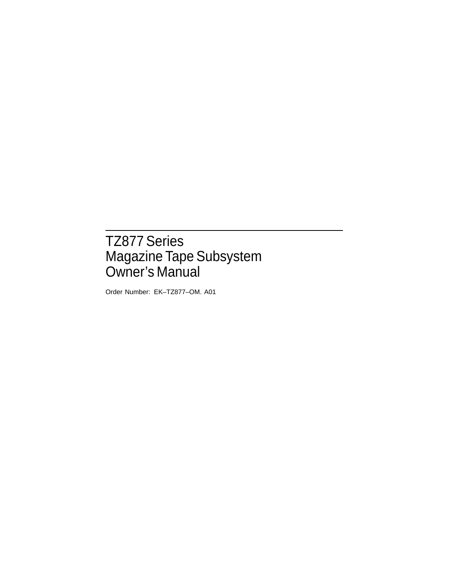# TZ877 Series Magazine Tape Subsystem Owner's Manual

Order Number: EK–TZ877–OM. A01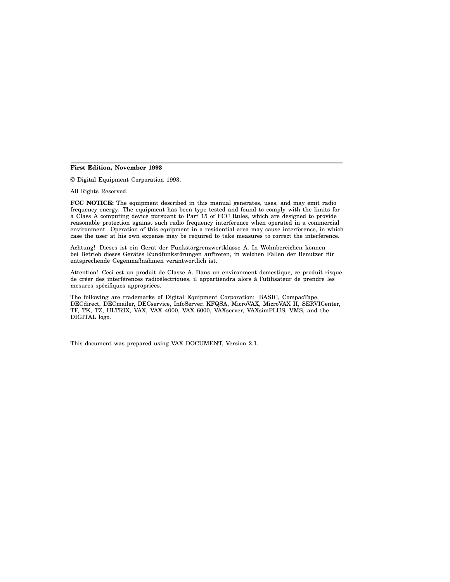#### **First Edition, November 1993**

© Digital Equipment Corporation 1993.

All Rights Reserved.

**FCC NOTICE:** The equipment described in this manual generates, uses, and may emit radio frequency energy. The equipment has been type tested and found to comply with the limits for a Class A computing device pursuant to Part 15 of FCC Rules, which are designed to provide reasonable protection against such radio frequency interference when operated in a commercial environment. Operation of this equipment in a residential area may cause interference, in which case the user at his own expense may be required to take measures to correct the interference.

Achtung! Dieses ist ein Gerät der Funkstörgrenzwertklasse A. In Wohnbereichen können bei Betrieb dieses Gerätes Rundfunkstörungen auftreten, in welchen Fällen der Benutzer für entsprechende Gegenmaßnahmen verantwortlich ist.

Attention! Ceci est un produit de Classe A. Dans un environment domestique, ce produit risque de créer des interférences radioélectriques, il appartiendra alors à l'utilisateur de prendre les mesures spécifiques appropriées.

The following are trademarks of Digital Equipment Corporation: BASIC, CompacTape, DECdirect, DECmailer, DECservice, InfoServer, KFQSA, MicroVAX, MicroVAX II, SERVICenter, TF, TK, TZ, ULTRIX, VAX, VAX 4000, VAX 6000, VAXserver, VAXsimPLUS, VMS, and the DIGITAL logo.

This document was prepared using VAX DOCUMENT, Version 2.1.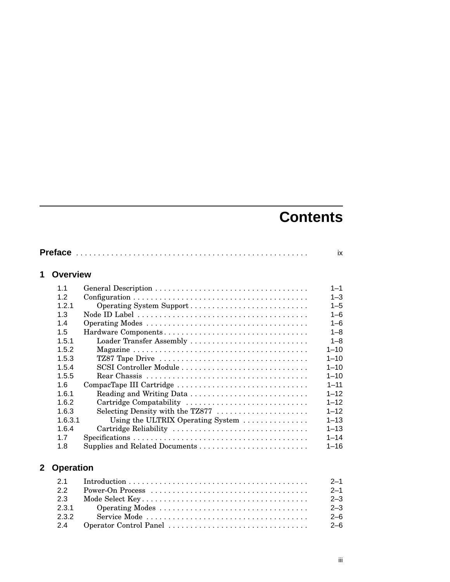# **Contents**

|                |                  |                                   | ix            |
|----------------|------------------|-----------------------------------|---------------|
| 1              | <b>Overview</b>  |                                   |               |
|                | 1.1              |                                   | $1 - 1$       |
|                | 1.2              |                                   | $1 - 3$       |
|                | 1.2.1            |                                   | $1 - 5$       |
|                | 1.3              |                                   | $1 - 6$       |
|                | 1.4              |                                   | $1 - 6$       |
|                | 1.5              |                                   | $1 - 8$       |
|                | 1.5.1            | Loader Transfer Assembly          | $1 - 8$       |
|                | 1.5.2            |                                   | $1 - 10$      |
|                | 1.5.3            |                                   | $1 - 10$      |
|                | 1.5.4            | SCSI Controller Module            | $1 - 10$      |
|                | 1.5.5            |                                   | $1 - 10$      |
|                | 1.6              | CompacTape III Cartridge          | $1 - 11$      |
|                | 1.6.1            |                                   | $1 - 12$      |
|                | 1.6.2            | Cartridge Compatability           | $1 - 12$      |
|                | 1.6.3            | Selecting Density with the TZ877  | $1 - 12$      |
|                | 1.6.3.1          | Using the ULTRIX Operating System | $1 - 13$      |
|                | 1.6.4            | Cartridge Reliability             | $1 - 13$      |
|                | 1.7              |                                   | $1 - 14$      |
|                | 1.8              |                                   | $1 - 16$      |
| 2 <sup>1</sup> | <b>Operation</b> |                                   |               |
|                | 2.1              |                                   | $2 - 1$       |
|                | 2.2              |                                   | $2 - 1$       |
|                |                  | 17 I C I J IZ                     | $\sim$ $\sim$ |

|       | $2 - 1$ |
|-------|---------|
| 2.3   | $2 - 3$ |
| 2.3.1 | $2 - 3$ |
| 2.3.2 | 2-6     |
| 2.4   | -2–6    |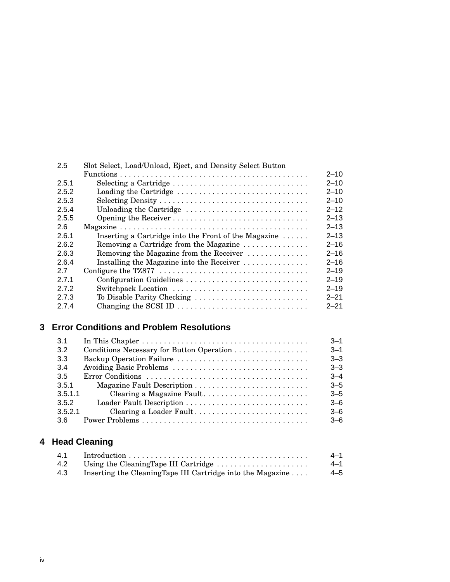| 2.5   | Slot Select, Load/Unload, Eject, and Density Select Button     |          |
|-------|----------------------------------------------------------------|----------|
|       |                                                                | $2 - 10$ |
| 2.5.1 | Selecting a Cartridge                                          | $2 - 10$ |
| 2.5.2 | Loading the Cartridge                                          | $2 - 10$ |
| 2.5.3 |                                                                | $2 - 10$ |
| 2.5.4 | Unloading the Cartridge                                        | $2 - 12$ |
| 2.5.5 |                                                                | $2 - 13$ |
| 2.6   |                                                                | $2 - 13$ |
| 2.6.1 | Inserting a Cartridge into the Front of the Magazine $\dots$ . | $2 - 13$ |
| 2.6.2 | Removing a Cartridge from the Magazine                         | $2 - 16$ |
| 2.6.3 | Removing the Magazine from the Receiver                        | $2 - 16$ |
| 2.6.4 | Installing the Magazine into the Receiver                      | $2 - 16$ |
| 2.7   |                                                                | $2 - 19$ |
| 2.7.1 | Configuration Guidelines                                       | $2 - 19$ |
| 272   | Switchpack Location                                            | $2 - 19$ |
| 2.7.3 | To Disable Parity Checking                                     | $2 - 21$ |
| 2.7.4 | Changing the SCSI ID                                           | $2 - 21$ |

## **3 Error Conditions and Problem Resolutions**

| 3.1     |                           | $3 - 1$ |
|---------|---------------------------|---------|
| 3.2     |                           | $3 - 1$ |
| 3.3     |                           | $3 - 3$ |
| 3.4     |                           | $3 - 3$ |
| 3.5     |                           | $3 - 4$ |
| 3.5.1   |                           | $3 - 5$ |
| 3.5.1.1 | Clearing a Magazine Fault | $3 - 5$ |
| 3.5.2   |                           | $3-6$   |
| 3.5.2.1 | Clearing a Loader Fault   | $3 - 6$ |
| -3.6    |                           | $-6$    |

## **4 Head Cleaning**

| 4.1 | $Introduction \dots \dots \dots \dots \dots \dots \dots \dots \dots \dots \dots \dots \dots \dots$ | 4—1 |
|-----|----------------------------------------------------------------------------------------------------|-----|
| 4.2 | Using the CleaningTape III Cartridge                                                               | 4–1 |
| 4.3 | Inserting the CleaningTape III Cartridge into the Magazine                                         | 4–5 |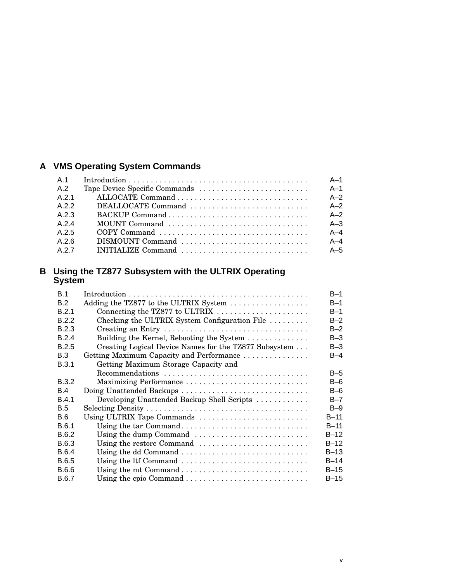## **A VMS Operating System Commands**

| A 1   |                    | $A-1$   |
|-------|--------------------|---------|
| A.2   |                    | $A-1$   |
| A 2 1 |                    | $A-2$   |
| A 2 2 | DEALLOCATE Command | $A-2$   |
| A 2 3 |                    | $A-2$   |
| A 24  |                    | $A - 3$ |
| A 25  |                    | $A - 4$ |
| A 26  | DISMOUNT Command   | $A-4$   |
| A 2 7 | INITIALIZE Command | $A-5$   |

#### **B Using the TZ877 Subsystem with the ULTRIX Operating System**

| B.1          |                                                       | $B-1$   |
|--------------|-------------------------------------------------------|---------|
| B.2          | Adding the TZ877 to the ULTRIX System                 | $B-1$   |
| B.2.1        | Connecting the TZ877 to ULTRIX                        | $B-1$   |
| B.2.2        | Checking the ULTRIX System Configuration File         | $B-2$   |
| B.2.3        | Creating an Entry                                     | $B-2$   |
| B.2.4        | Building the Kernel, Rebooting the System             | $B-3$   |
| B.2.5        | Creating Logical Device Names for the TZ877 Subsystem | $B-3$   |
| B.3          | Getting Maximum Capacity and Performance              | $B-4$   |
| B.3.1        | Getting Maximum Storage Capacity and                  |         |
|              | Recommendations                                       | $B-5$   |
| <b>B.3.2</b> | Maximizing Performance                                | $B-6$   |
| B.4          | Doing Unattended Backups                              | $B-6$   |
| <b>B.4.1</b> | Developing Unattended Backup Shell Scripts            | $B - 7$ |
| <b>B.5</b>   |                                                       | $B-9$   |
| B.6          | Using ULTRIX Tape Commands                            | $B-11$  |
| B.6.1        | Using the tar Command                                 | $B-11$  |
| B.6.2        | Using the dump Command                                | $B-12$  |
| B.6.3        | Using the restore Command                             | $B-12$  |
| B.6.4        | Using the dd Command                                  | $B-13$  |
| B.6.5        | Using the ltf Command                                 | $B-14$  |
| B.6.6        |                                                       | $B-15$  |
| <b>B.6.7</b> |                                                       | $B-15$  |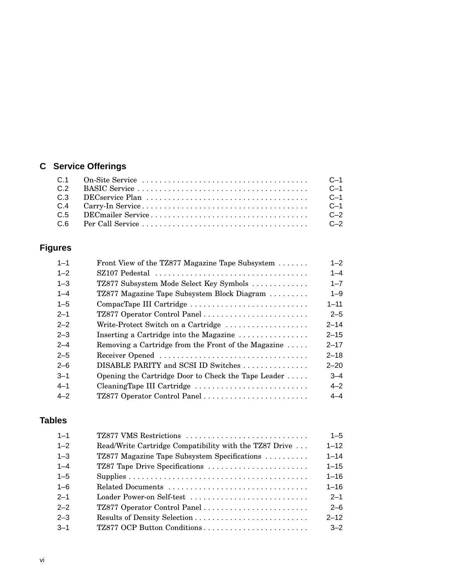# **C Service Offerings**

|  | $C-1$ |
|--|-------|
|  | $C-1$ |
|  | $C-1$ |
|  | C-2   |
|  |       |

## **Figures**

| $1 - 1$ | Front View of the TZ877 Magazine Tape Subsystem                                          | $1 - 2$  |
|---------|------------------------------------------------------------------------------------------|----------|
| $1 - 2$ | $SZ107$ Pedestal $\ldots \ldots \ldots \ldots \ldots \ldots \ldots \ldots \ldots \ldots$ | $1 - 4$  |
| $1 - 3$ | TZ877 Subsystem Mode Select Key Symbols                                                  | $1 - 7$  |
| $1 - 4$ | TZ877 Magazine Tape Subsystem Block Diagram                                              | $1 - 9$  |
| $1 - 5$ | CompacTape III Cartridge                                                                 | $1 - 11$ |
| $2 - 1$ |                                                                                          | $2 - 5$  |
| $2 - 2$ | Write-Protect Switch on a Cartridge                                                      | $2 - 14$ |
| $2 - 3$ | Inserting a Cartridge into the Magazine                                                  | $2 - 15$ |
| $2 - 4$ | Removing a Cartridge from the Front of the Magazine                                      | $2 - 17$ |
| $2 - 5$ |                                                                                          | $2 - 18$ |
| $2 - 6$ | DISABLE PARITY and SCSI ID Switches                                                      | $2 - 20$ |
| $3 - 1$ | Opening the Cartridge Door to Check the Tape Leader $\dots$ .                            | $3 - 4$  |
| $4 - 1$ | CleaningTape III Cartridge                                                               | $4 - 2$  |
| $4 - 2$ |                                                                                          | $4 - 4$  |
|         |                                                                                          |          |

## **Tables**

| $1 - 1$ | TZ877 VMS Restrictions                                 | $1 - 5$  |
|---------|--------------------------------------------------------|----------|
| $1 - 2$ | Read/Write Cartridge Compatibility with the TZ87 Drive | $1 - 12$ |
| $1 - 3$ | TZ877 Magazine Tape Subsystem Specifications           | $1 - 14$ |
| $1 - 4$ | TZ87 Tape Drive Specifications                         | $1 - 15$ |
| $1 - 5$ |                                                        | $1 - 16$ |
| $1 - 6$ |                                                        | $1 - 16$ |
| $2 - 1$ |                                                        | $2 - 1$  |
| $2 - 2$ |                                                        | $2 - 6$  |
| $2 - 3$ |                                                        | $2 - 12$ |
| $3 - 1$ | TZ877 OCP Button Conditions                            | $3 - 2$  |
|         |                                                        |          |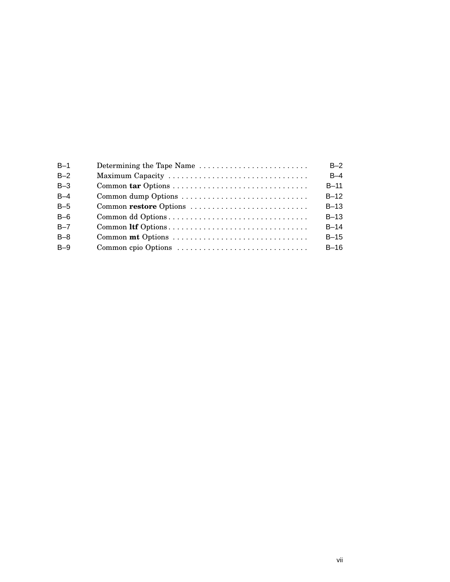| $B-1$   | Determining the Tape Name | $B-2$  |
|---------|---------------------------|--------|
| $B-2$   | Maximum Capacity          | $B-4$  |
| $B-3$   |                           | $B-11$ |
| $B-4$   | Common dump Options       | $B-12$ |
| $B-5$   |                           | $B-13$ |
| $B-6$   | Common dd Options         | $B-13$ |
| $B - 7$ |                           | $B-14$ |
| $B-8$   |                           | $B-15$ |
| $B-9$   |                           | $B-16$ |
|         |                           |        |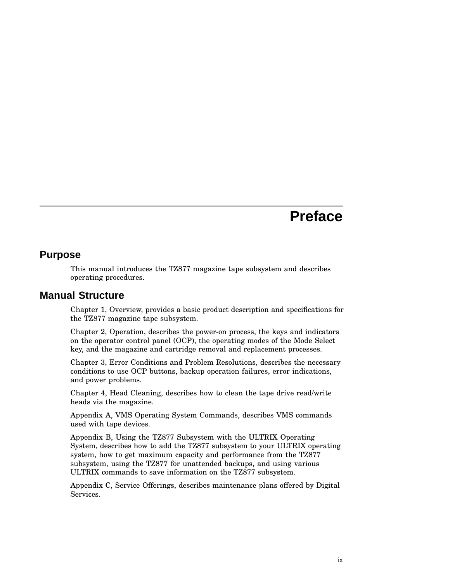# **Preface**

#### **Purpose**

This manual introduces the TZ877 magazine tape subsystem and describes operating procedures.

### **Manual Structure**

Chapter 1, Overview, provides a basic product description and specifications for the TZ877 magazine tape subsystem.

Chapter 2, Operation, describes the power-on process, the keys and indicators on the operator control panel (OCP), the operating modes of the Mode Select key, and the magazine and cartridge removal and replacement processes.

Chapter 3, Error Conditions and Problem Resolutions, describes the necessary conditions to use OCP buttons, backup operation failures, error indications, and power problems.

Chapter 4, Head Cleaning, describes how to clean the tape drive read/write heads via the magazine.

Appendix A, VMS Operating System Commands, describes VMS commands used with tape devices.

Appendix B, Using the TZ877 Subsystem with the ULTRIX Operating System, describes how to add the TZ877 subsystem to your ULTRIX operating system, how to get maximum capacity and performance from the TZ877 subsystem, using the TZ877 for unattended backups, and using various ULTRIX commands to save information on the TZ877 subsystem.

Appendix C, Service Offerings, describes maintenance plans offered by Digital Services.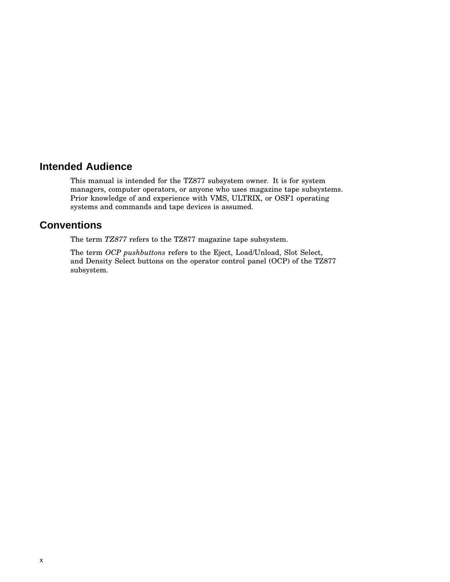## **Intended Audience**

This manual is intended for the TZ877 subsystem owner. It is for system managers, computer operators, or anyone who uses magazine tape subsystems. Prior knowledge of and experience with VMS, ULTRIX, or OSF1 operating systems and commands and tape devices is assumed.

## **Conventions**

The term *TZ877* refers to the TZ877 magazine tape subsystem.

The term *OCP pushbuttons* refers to the Eject, Load/Unload, Slot Select, and Density Select buttons on the operator control panel (OCP) of the TZ877 subsystem.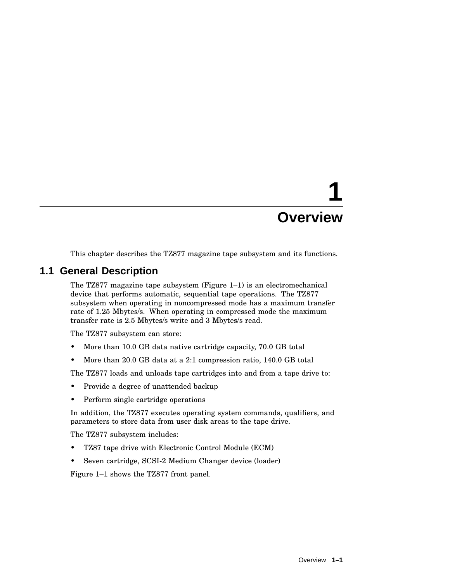# **1 Overview**

This chapter describes the TZ877 magazine tape subsystem and its functions.

## **1.1 General Description**

The TZ877 magazine tape subsystem (Figure  $1-1$ ) is an electromechanical device that performs automatic, sequential tape operations. The TZ877 subsystem when operating in noncompressed mode has a maximum transfer rate of 1.25 Mbytes/s. When operating in compressed mode the maximum transfer rate is 2.5 Mbytes/s write and 3 Mbytes/s read.

The TZ877 subsystem can store:

- More than 10.0 GB data native cartridge capacity, 70.0 GB total
- More than 20.0 GB data at a 2:1 compression ratio, 140.0 GB total

The TZ877 loads and unloads tape cartridges into and from a tape drive to:

- Provide a degree of unattended backup
- Perform single cartridge operations

In addition, the TZ877 executes operating system commands, qualifiers, and parameters to store data from user disk areas to the tape drive.

The TZ877 subsystem includes:

- TZ87 tape drive with Electronic Control Module (ECM)
- Seven cartridge, SCSI-2 Medium Changer device (loader)

Figure 1–1 shows the TZ877 front panel.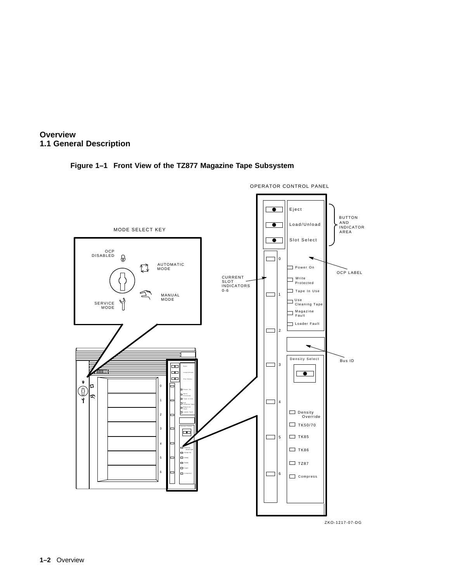

#### **Figure 1–1 Front View of the TZ877 Magazine Tape Subsystem**



ZKO-1217-07-DG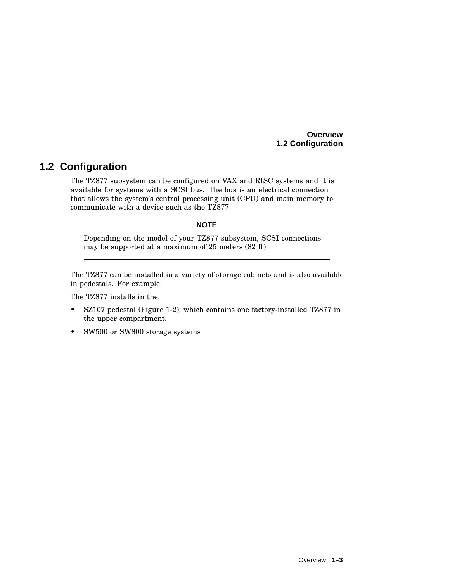#### **Overview 1.2 Configuration**

## **1.2 Configuration**

The TZ877 subsystem can be configured on VAX and RISC systems and it is available for systems with a SCSI bus. The bus is an electrical connection that allows the system's central processing unit (CPU) and main memory to communicate with a device such as the TZ877.

 $\_$  NOTE  $\_$ 

Depending on the model of your TZ877 subsystem, SCSI connections may be supported at a maximum of 25 meters (82 ft).

The TZ877 can be installed in a variety of storage cabinets and is also available in pedestals. For example:

The TZ877 installs in the:

- SZ107 pedestal (Figure 1-2), which contains one factory-installed TZ877 in the upper compartment.
- SW500 or SW800 storage systems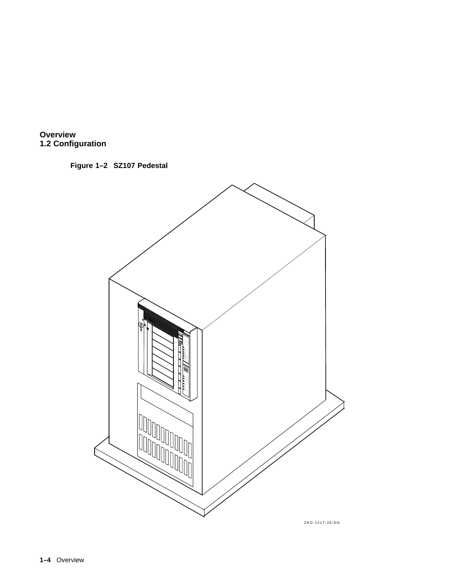





ZKO-1217-25-DG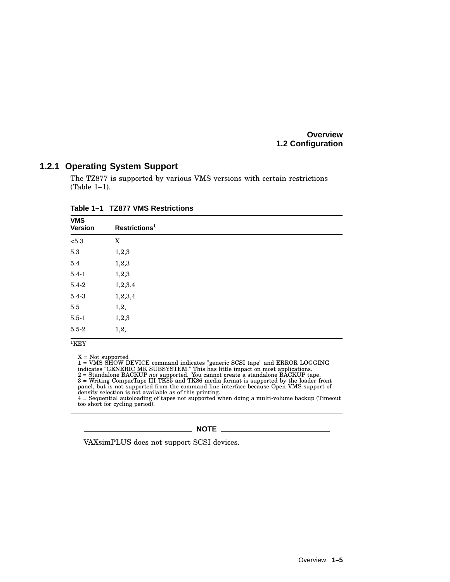**Overview 1.2 Configuration**

#### **1.2.1 Operating System Support**

The TZ877 is supported by various VMS versions with certain restrictions (Table 1–1).

| <b>VMS</b><br><b>Version</b> | Restrictions <sup>1</sup> |  |
|------------------------------|---------------------------|--|
| $<\!\!5.3$                   | X                         |  |
| $5.3\,$                      | 1,2,3                     |  |
| $5.4\,$                      | 1,2,3                     |  |
| $5.4 - 1$                    | 1,2,3                     |  |
| $5.4 - 2$                    | 1,2,3,4                   |  |
| $5.4 - 3$                    | 1,2,3,4                   |  |
| $5.5\,$                      | 1,2,                      |  |
| $5.5 - 1$                    | 1,2,3                     |  |
| $5.5 - 2$                    | 1,2,                      |  |
| $1 - 2 - 1$                  |                           |  |

**Table 1–1 TZ877 VMS Restrictions**

 $1$ KEY

X = Not supported<br>1 = VMS SHOW DEVICE command indicates "generic SCSI tape" and ERROR LOGGING<br>indicates "GENERIC MK SUBSYSTEM." This has little impact on most applications.<br>2 = Standalone BACKUP *not* supported. You cannot too short for cycling period).

 $\_$  NOTE  $\_$ 

VAXsimPLUS does not support SCSI devices.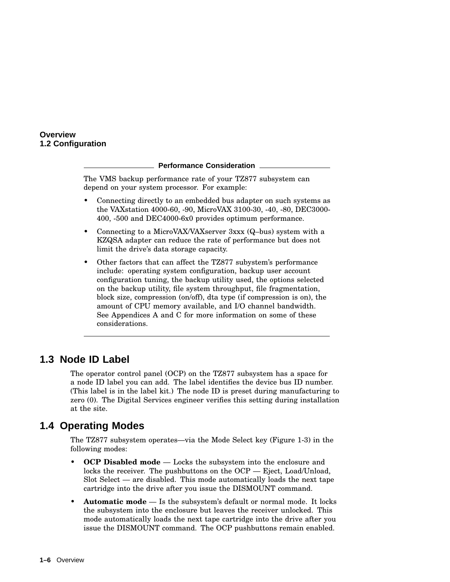#### **Overview 1.2 Configuration**

#### **Performance Consideration**

The VMS backup performance rate of your TZ877 subsystem can depend on your system processor. For example:

- Connecting directly to an embedded bus adapter on such systems as the VAXstation 4000-60, -90, MicroVAX 3100-30, -40, -80, DEC3000- 400, -500 and DEC4000-6x0 provides optimum performance.
- Connecting to a MicroVAX/VAXserver 3xxx (Q–bus) system with a KZQSA adapter can reduce the rate of performance but does not limit the drive's data storage capacity.
- Other factors that can affect the TZ877 subystem's performance include: operating system configuration, backup user account configuration tuning, the backup utility used, the options selected on the backup utility, file system throughput, file fragmentation, block size, compression (on/off), dta type (if compression is on), the amount of CPU memory available, and I/O channel bandwidth. See Appendices A and C for more information on some of these considerations.

## **1.3 Node ID Label**

The operator control panel (OCP) on the TZ877 subsystem has a space for a node ID label you can add. The label identifies the device bus ID number. (This label is in the label kit.) The node ID is preset during manufacturing to zero (0). The Digital Services engineer verifies this setting during installation at the site.

## **1.4 Operating Modes**

The TZ877 subsystem operates—via the Mode Select key (Figure 1-3) in the following modes:

- **OCP Disabled mode** Locks the subsystem into the enclosure and locks the receiver. The pushbuttons on the OCP — Eject, Load/Unload, Slot Select — are disabled. This mode automatically loads the next tape cartridge into the drive after you issue the DISMOUNT command.
- **Automatic mode** Is the subsystem's default or normal mode. It locks the subsystem into the enclosure but leaves the receiver unlocked. This mode automatically loads the next tape cartridge into the drive after you issue the DISMOUNT command. The OCP pushbuttons remain enabled.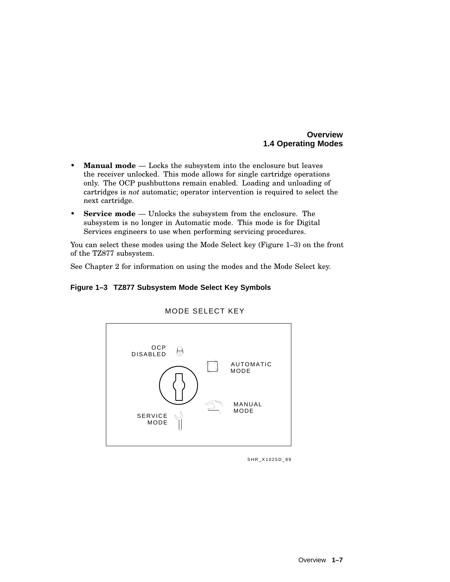#### **Overview 1.4 Operating Modes**

- **Manual mode** Locks the subsystem into the enclosure but leaves the receiver unlocked. This mode allows for single cartridge operations only. The OCP pushbuttons remain enabled. Loading and unloading of cartridges is *not* automatic; operator intervention is required to select the next cartridge.
- **Service mode** Unlocks the subsystem from the enclosure. The subsystem is no longer in Automatic mode. This mode is for Digital Services engineers to use when performing servicing procedures.

You can select these modes using the Mode Select key (Figure 1–3) on the front of the TZ877 subsystem.

See Chapter 2 for information on using the modes and the Mode Select key.

#### **Figure 1–3 TZ877 Subsystem Mode Select Key Symbols**



#### MODE SELECT KEY

SHR\_X1025D\_89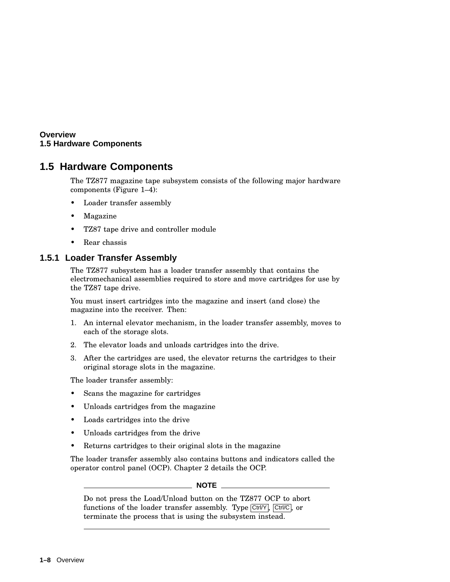#### **Overview 1.5 Hardware Components**

## **1.5 Hardware Components**

The TZ877 magazine tape subsystem consists of the following major hardware components (Figure 1–4):

- Loader transfer assembly
- Magazine
- TZ87 tape drive and controller module
- Rear chassis

#### **1.5.1 Loader Transfer Assembly**

The TZ877 subsystem has a loader transfer assembly that contains the electromechanical assemblies required to store and move cartridges for use by the TZ87 tape drive.

You must insert cartridges into the magazine and insert (and close) the magazine into the receiver. Then:

- 1. An internal elevator mechanism, in the loader transfer assembly, moves to each of the storage slots.
- 2. The elevator loads and unloads cartridges into the drive.
- 3. After the cartridges are used, the elevator returns the cartridges to their original storage slots in the magazine.

The loader transfer assembly:

- Scans the magazine for cartridges
- Unloads cartridges from the magazine
- Loads cartridges into the drive
- Unloads cartridges from the drive
- Returns cartridges to their original slots in the magazine

The loader transfer assembly also contains buttons and indicators called the operator control panel (OCP). Chapter 2 details the OCP.

#### **NOTE**

Do not press the Load/Unload button on the TZ877 OCP to abort functions of the loader transfer assembly. Type  $\overline{Ctr1/Y}$ ,  $\overline{Ctr1/C}$ , or terminate the process that is using the subsystem instead.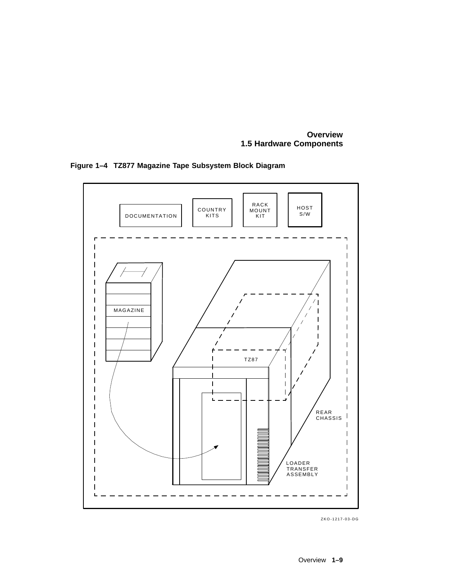**Overview 1.5 Hardware Components**



**Figure 1–4 TZ877 Magazine Tape Subsystem Block Diagram**

ZKO-1217-03-DG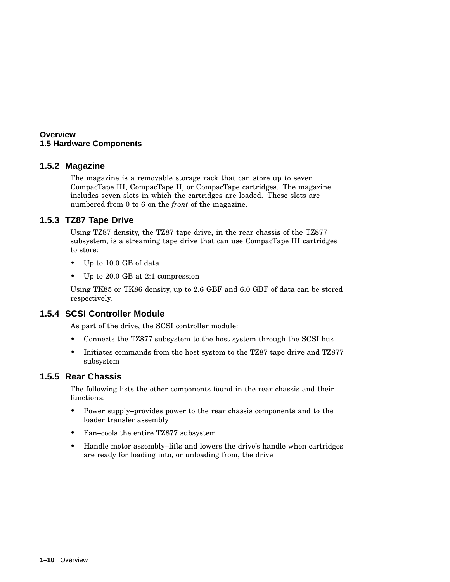#### **Overview 1.5 Hardware Components**

#### **1.5.2 Magazine**

The magazine is a removable storage rack that can store up to seven CompacTape III, CompacTape II, or CompacTape cartridges. The magazine includes seven slots in which the cartridges are loaded. These slots are numbered from 0 to 6 on the *front* of the magazine.

#### **1.5.3 TZ87 Tape Drive**

Using TZ87 density, the TZ87 tape drive, in the rear chassis of the TZ877 subsystem, is a streaming tape drive that can use CompacTape III cartridges to store:

- Up to 10.0 GB of data
- Up to 20.0 GB at 2:1 compression

Using TK85 or TK86 density, up to 2.6 GBF and 6.0 GBF of data can be stored respectively.

#### **1.5.4 SCSI Controller Module**

As part of the drive, the SCSI controller module:

- Connects the TZ877 subsystem to the host system through the SCSI bus
- Initiates commands from the host system to the TZ87 tape drive and TZ877 subsystem

#### **1.5.5 Rear Chassis**

The following lists the other components found in the rear chassis and their functions:

- Power supply–provides power to the rear chassis components and to the loader transfer assembly
- Fan–cools the entire TZ877 subsystem
- Handle motor assembly–lifts and lowers the drive's handle when cartridges are ready for loading into, or unloading from, the drive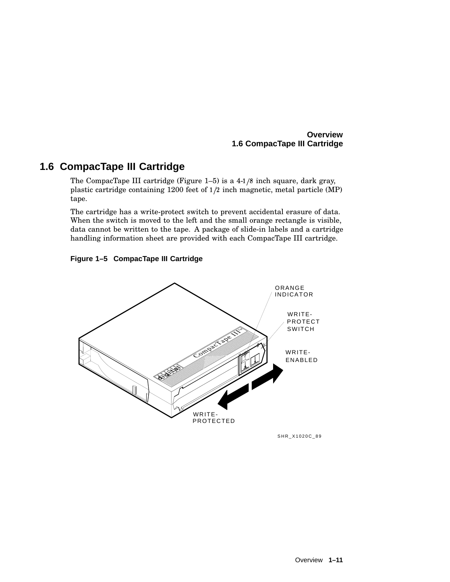#### **Overview 1.6 CompacTape III Cartridge**

## **1.6 CompacTape III Cartridge**

The CompacTape III cartridge (Figure  $1-5$ ) is a  $4-1/8$  inch square, dark gray, plastic cartridge containing 1200 feet of  $1/2$  inch magnetic, metal particle (MP) tape.

The cartridge has a write-protect switch to prevent accidental erasure of data. When the switch is moved to the left and the small orange rectangle is visible, data cannot be written to the tape. A package of slide-in labels and a cartridge handling information sheet are provided with each CompacTape III cartridge.





SHR\_X1020C\_89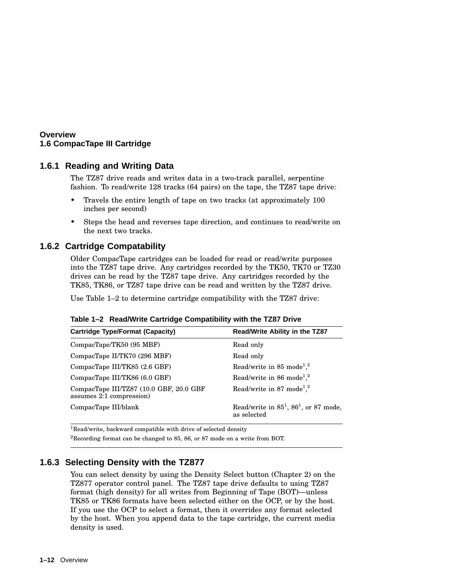#### **Overview 1.6 CompacTape III Cartridge**

#### **1.6.1 Reading and Writing Data**

The TZ87 drive reads and writes data in a two-track parallel, serpentine fashion. To read/write 128 tracks (64 pairs) on the tape, the TZ87 tape drive:

- Travels the entire length of tape on two tracks (at approximately 100 inches per second)
- Steps the head and reverses tape direction, and continues to read/write on the next two tracks.

#### **1.6.2 Cartridge Compatability**

Older CompacTape cartridges can be loaded for read or read/write purposes into the TZ87 tape drive. Any cartridges recorded by the TK50, TK70 or TZ30 drives can be read by the TZ87 tape drive. Any cartridges recorded by the TK85, TK86, or TZ87 tape drive can be read and written by the TZ87 drive.

Use Table 1–2 to determine cartridge compatibility with the TZ87 drive:

| Read/Write Ability in the TZ87                             |
|------------------------------------------------------------|
| Read only                                                  |
| Read only                                                  |
| Read/write in 85 mode <sup>1,2</sup>                       |
| Read/write in 86 mode <sup>1,2</sup>                       |
| Read/write in 87 mode <sup>1,2</sup>                       |
| Read/write in $85^1$ , $86^1$ , or 87 mode,<br>as selected |
|                                                            |

|  |  |  | Table 1-2 Read/Write Cartridge Compatibility with the TZ87 Drive |  |  |
|--|--|--|------------------------------------------------------------------|--|--|
|--|--|--|------------------------------------------------------------------|--|--|

<sup>1</sup>Read/write, backward compatible with drive of selected density

<sup>2</sup>Recording format can be changed to 85, 86, or 87 mode on a write from BOT.

### **1.6.3 Selecting Density with the TZ877**

You can select density by using the Density Select button (Chapter 2) on the TZ877 operator control panel. The TZ87 tape drive defaults to using TZ87 format (high density) for all writes from Beginning of Tape (BOT)—unless TK85 or TK86 formats have been selected either on the OCP, or by the host. If you use the OCP to select a format, then it overrides any format selected by the host. When you append data to the tape cartridge, the current media density is used.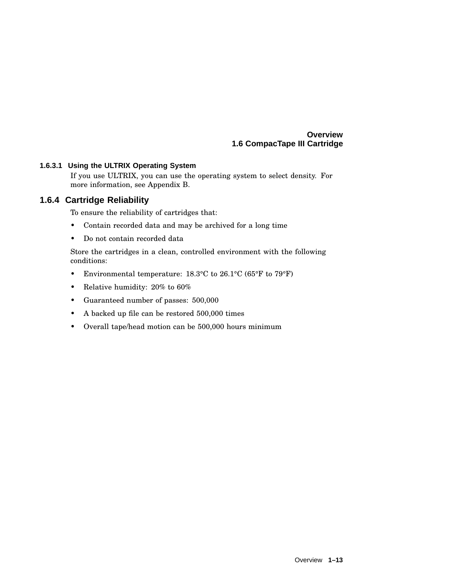#### **Overview 1.6 CompacTape III Cartridge**

#### **1.6.3.1 Using the ULTRIX Operating System**

If you use ULTRIX, you can use the operating system to select density. For more information, see Appendix B.

#### **1.6.4 Cartridge Reliability**

To ensure the reliability of cartridges that:

- Contain recorded data and may be archived for a long time
- Do not contain recorded data

Store the cartridges in a clean, controlled environment with the following conditions:

- Environmental temperature: 18.3°C to 26.1°C (65°F to 79°F)
- Relative humidity: 20% to 60%
- Guaranteed number of passes: 500,000
- A backed up file can be restored 500,000 times
- Overall tape/head motion can be 500,000 hours minimum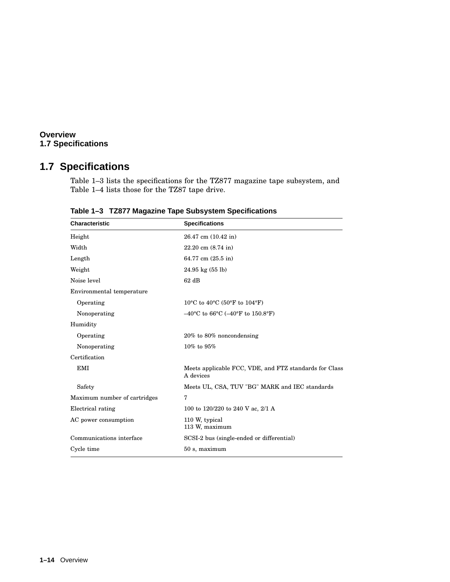#### **Overview 1.7 Specifications**

## **1.7 Specifications**

Table 1–3 lists the specifications for the TZ877 magazine tape subsystem, and Table 1–4 lists those for the TZ87 tape drive.

| <b>Characteristic</b>        | <b>Specifications</b>                                                       |
|------------------------------|-----------------------------------------------------------------------------|
| Height                       | 26.47 cm (10.42 in)                                                         |
| Width                        | $22.20 \text{ cm } (8.74 \text{ in})$                                       |
| Length                       | 64.77 cm (25.5 in)                                                          |
| Weight                       | $24.95 \text{ kg} (55 \text{ lb})$                                          |
| Noise level                  | $62$ dB                                                                     |
| Environmental temperature    |                                                                             |
| Operating                    | 10°C to 40°C (50°F to 104°F)                                                |
| Nonoperating                 | $-40^{\circ}$ C to 66 $^{\circ}$ C ( $-40^{\circ}$ F to 150.8 $^{\circ}$ F) |
| Humidity                     |                                                                             |
| Operating                    | $20\%$ to $80\%$ noncondensing                                              |
| Nonoperating                 | $10\%$ to $95\%$                                                            |
| Certification                |                                                                             |
| <b>EMI</b>                   | Meets applicable FCC, VDE, and FTZ standards for Class<br>A devices         |
| Safety                       | Meets UL, CSA, TUV "BG" MARK and IEC standards                              |
| Maximum number of cartridges | 7                                                                           |
| Electrical rating            | 100 to 120/220 to 240 V ac, 2/1 A                                           |
| AC power consumption         | 110 W, typical<br>113 W, maximum                                            |
| Communications interface     | SCSI-2 bus (single-ended or differential)                                   |
| Cycle time                   | 50 s, maximum                                                               |

**Table 1–3 TZ877 Magazine Tape Subsystem Specifications**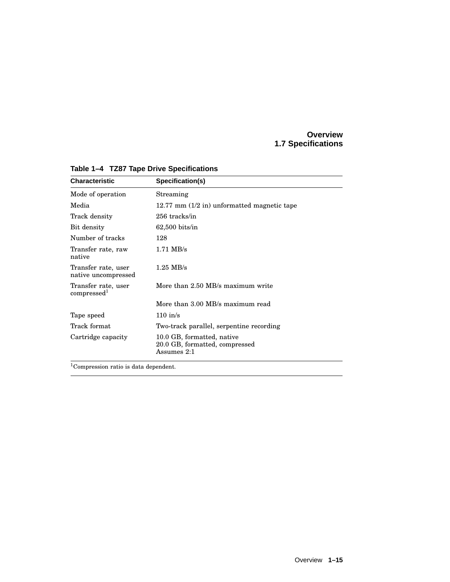#### **Overview 1.7 Specifications**

| <b>Characteristic</b>                          | Specification(s)                                                            |
|------------------------------------------------|-----------------------------------------------------------------------------|
| Mode of operation                              | Streaming                                                                   |
| Media                                          | 12.77 mm $(1/2$ in) unformatted magnetic tape                               |
| Track density                                  | 256 tracks/in                                                               |
| Bit density                                    | $62,500$ bits/in                                                            |
| Number of tracks                               | 128                                                                         |
| Transfer rate, raw<br>native                   | $1.71$ MB/s                                                                 |
| Transfer rate, user<br>native uncompressed     | $1.25$ MB/s                                                                 |
| Transfer rate, user<br>compressed <sup>1</sup> | More than 2.50 MB/s maximum write                                           |
|                                                | More than 3.00 MB/s maximum read                                            |
| Tape speed                                     | $110$ in/s                                                                  |
| Track format                                   | Two-track parallel, serpentine recording                                    |
| Cartridge capacity                             | 10.0 GB, formatted, native<br>20.0 GB, formatted, compressed<br>Assumes 2:1 |

**Table 1–4 TZ87 Tape Drive Specifications**

<sup>1</sup>Compression ratio is data dependent.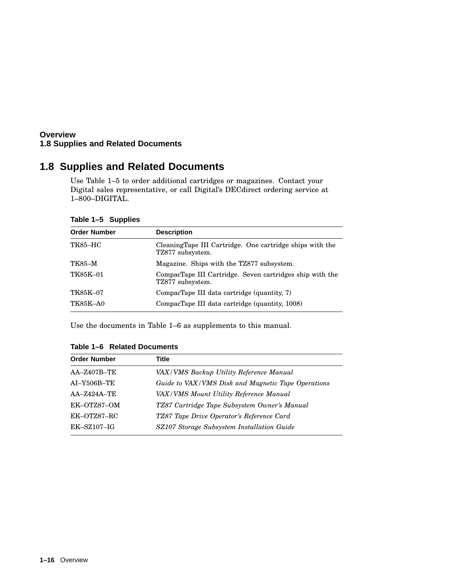#### **Overview 1.8 Supplies and Related Documents**

## **1.8 Supplies and Related Documents**

Use Table 1–5 to order additional cartridges or magazines. Contact your Digital sales representative, or call Digital's DECdirect ordering service at 1–800–DIGITAL.

|  |  |  | Table 1-5 Supplies |  |
|--|--|--|--------------------|--|
|--|--|--|--------------------|--|

| <b>Order Number</b> | <b>Description</b>                                                           |
|---------------------|------------------------------------------------------------------------------|
| <b>TK85-HC</b>      | CleaningTape III Cartridge. One cartridge ships with the<br>TZ877 subsystem. |
| TK85–M              | Magazine. Ships with the TZ877 subsystem.                                    |
| TK85K-01            | CompacTape III Cartridge. Seven cartridges ship with the<br>TZ877 subsystem. |
| <b>TK85K-07</b>     | CompacTape III data cartridge (quantity, 7)                                  |
| <b>TK85K-A0</b>     | CompacTape III data cartridge (quantity, 1008)                               |

Use the documents in Table 1–6 as supplements to this manual.

|  |  | Table 1–6 Related Documents |
|--|--|-----------------------------|
|--|--|-----------------------------|

| <b>Order Number</b> | Title                                              |
|---------------------|----------------------------------------------------|
| $AA - Z407B - TE$   | VAX/VMS Backup Utility Reference Manual            |
| $AI-Y506B-TE$       | Guide to VAX/VMS Disk and Magnetic Tape Operations |
| $AA - Z424A - TE$   | VAX/VMS Mount Utility Reference Manual             |
| EK-OTZ87-OM         | TZ87 Cartridge Tape Subsystem Owner's Manual       |
| EK-OTZ87-RC         | TZ87 Tape Drive Operator's Reference Card          |
| $EK-SZ107-IG$       | SZ107 Storage Subsystem Installation Guide         |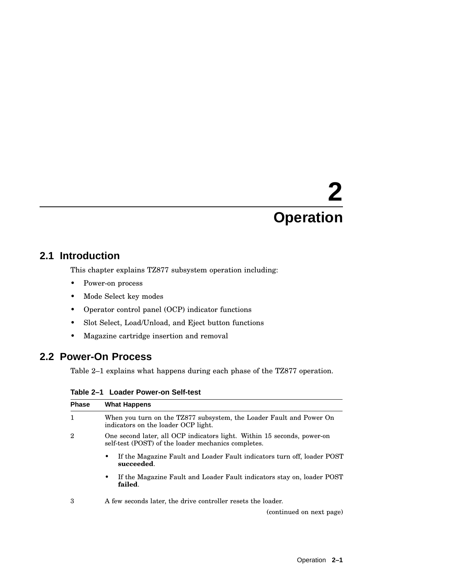# **2 Operation**

## **2.1 Introduction**

This chapter explains TZ877 subsystem operation including:

- Power-on process
- Mode Select key modes
- Operator control panel (OCP) indicator functions
- Slot Select, Load/Unload, and Eject button functions
- Magazine cartridge insertion and removal

## **2.2 Power-On Process**

Table 2–1 explains what happens during each phase of the TZ877 operation.

| Table 2–1 Loader Power-on Self-test |  |  |  |  |
|-------------------------------------|--|--|--|--|
|-------------------------------------|--|--|--|--|

| <b>Phase</b> | <b>What Happens</b>                                                                                                            |
|--------------|--------------------------------------------------------------------------------------------------------------------------------|
| $\mathbf{1}$ | When you turn on the TZ877 subsystem, the Loader Fault and Power On<br>indicators on the loader OCP light.                     |
| 2            | One second later, all OCP indicators light. Within 15 seconds, power-on<br>self-test (POST) of the loader mechanics completes. |
|              | If the Magazine Fault and Loader Fault indicators turn off, loader POST<br>٠<br>succeeded.                                     |
|              | If the Magazine Fault and Loader Fault indicators stay on, loader POST<br>٠<br>failed.                                         |
| З            | A few seconds later, the drive controller resets the loader.                                                                   |
|              | (continued on next page)                                                                                                       |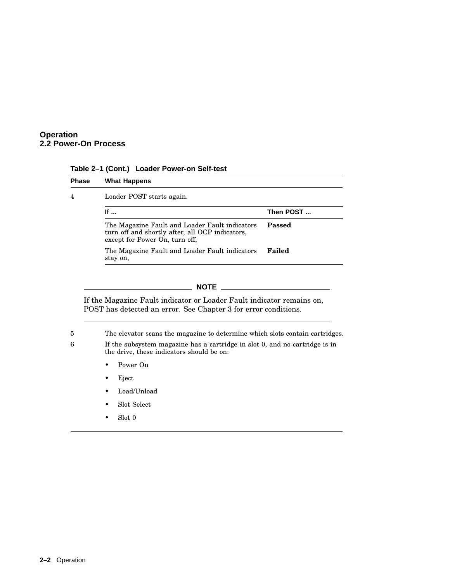

|  | Table 2-1 (Cont.) Loader Power-on Self-test |  |
|--|---------------------------------------------|--|
|  |                                             |  |

| <b>Phase</b> | <b>What Happens</b>                                                                                                                 |               |
|--------------|-------------------------------------------------------------------------------------------------------------------------------------|---------------|
| 4            | Loader POST starts again.                                                                                                           |               |
|              | If $\ldots$                                                                                                                         | Then POST     |
|              | The Magazine Fault and Loader Fault indicators<br>turn off and shortly after, all OCP indicators,<br>except for Power On, turn off, | <b>Passed</b> |
|              | The Magazine Fault and Loader Fault indicators<br>stay on,                                                                          | Failed        |

**NOTE**

If the Magazine Fault indicator or Loader Fault indicator remains on, POST has detected an error. See Chapter 3 for error conditions.

5 The elevator scans the magazine to determine which slots contain cartridges.

6 If the subsystem magazine has a cartridge in slot 0, and no cartridge is in the drive, these indicators should be on:

- Power On
- Eject
- Load/Unload
- Slot Select
- Slot 0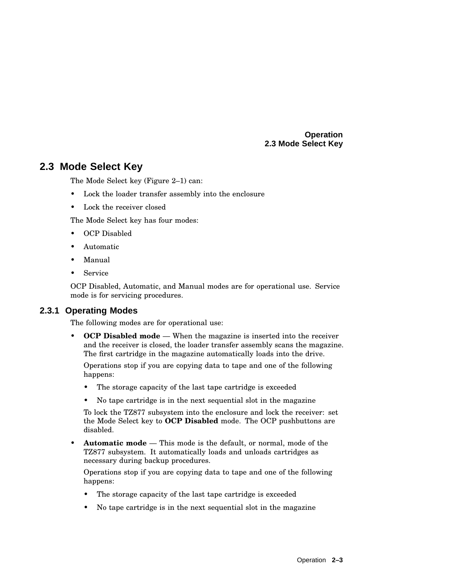## **2.3 Mode Select Key**

The Mode Select key (Figure 2–1) can:

- Lock the loader transfer assembly into the enclosure
- Lock the receiver closed

The Mode Select key has four modes:

- OCP Disabled
- Automatic
- Manual
- **Service**

OCP Disabled, Automatic, and Manual modes are for operational use. Service mode is for servicing procedures.

#### **2.3.1 Operating Modes**

The following modes are for operational use:

• **OCP Disabled mode** — When the magazine is inserted into the receiver and the receiver is closed, the loader transfer assembly scans the magazine. The first cartridge in the magazine automatically loads into the drive.

Operations stop if you are copying data to tape and one of the following happens:

- The storage capacity of the last tape cartridge is exceeded
- No tape cartridge is in the next sequential slot in the magazine

To lock the TZ877 subsystem into the enclosure and lock the receiver: set the Mode Select key to **OCP Disabled** mode. The OCP pushbuttons are disabled.

• **Automatic mode** — This mode is the default, or normal, mode of the TZ877 subsystem. It automatically loads and unloads cartridges as necessary during backup procedures.

Operations stop if you are copying data to tape and one of the following happens:

- The storage capacity of the last tape cartridge is exceeded
- No tape cartridge is in the next sequential slot in the magazine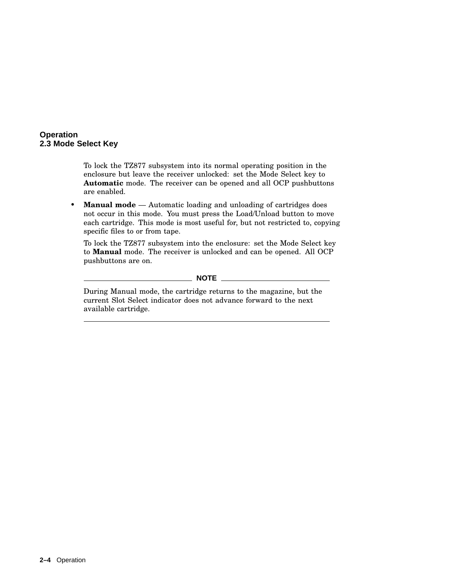To lock the TZ877 subsystem into its normal operating position in the enclosure but leave the receiver unlocked: set the Mode Select key to **Automatic** mode. The receiver can be opened and all OCP pushbuttons are enabled.

• **Manual mode** — Automatic loading and unloading of cartridges does not occur in this mode. You must press the Load/Unload button to move each cartridge. This mode is most useful for, but not restricted to, copying specific files to or from tape.

To lock the TZ877 subsystem into the enclosure: set the Mode Select key to **Manual** mode. The receiver is unlocked and can be opened. All OCP pushbuttons are on.

#### **NOTE**

During Manual mode, the cartridge returns to the magazine, but the current Slot Select indicator does not advance forward to the next available cartridge.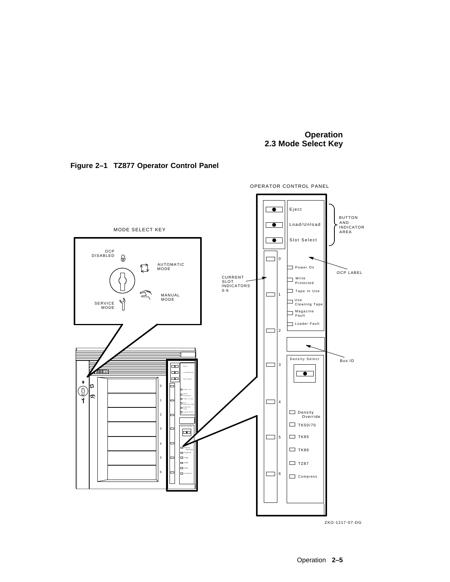



ZKO-1217-07-DG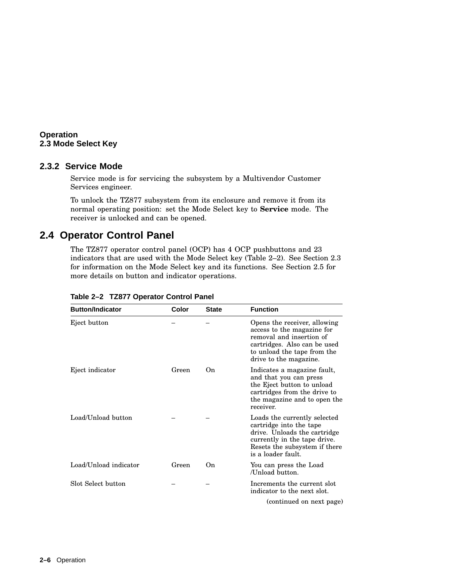#### **2.3.2 Service Mode**

Service mode is for servicing the subsystem by a Multivendor Customer Services engineer.

To unlock the TZ877 subsystem from its enclosure and remove it from its normal operating position: set the Mode Select key to **Service** mode. The receiver is unlocked and can be opened.

## **2.4 Operator Control Panel**

The TZ877 operator control panel (OCP) has 4 OCP pushbuttons and 23 indicators that are used with the Mode Select key (Table 2–2). See Section 2.3 for information on the Mode Select key and its functions. See Section 2.5 for more details on button and indicator operations.

| <b>Button/Indicator</b> | Color | <b>State</b> | <b>Function</b>                                                                                                                                                                 |
|-------------------------|-------|--------------|---------------------------------------------------------------------------------------------------------------------------------------------------------------------------------|
| Eject button            |       |              | Opens the receiver, allowing<br>access to the magazine for<br>removal and insertion of<br>cartridges. Also can be used<br>to unload the tape from the<br>drive to the magazine. |
| Eject indicator         | Green | 0n           | Indicates a magazine fault,<br>and that you can press<br>the Eject button to unload<br>cartridges from the drive to<br>the magazine and to open the<br>receiver.                |
| Load/Unload button      |       |              | Loads the currently selected<br>cartridge into the tape<br>drive. Unloads the cartridge<br>currently in the tape drive.<br>Resets the subsystem if there<br>is a loader fault.  |
| Load/Unload indicator   | Green | 0n           | You can press the Load<br>/Unload button.                                                                                                                                       |
| Slot Select button      |       |              | Increments the current slot<br>indicator to the next slot.                                                                                                                      |
|                         |       |              | (continued on next page)                                                                                                                                                        |

**Table 2–2 TZ877 Operator Control Panel**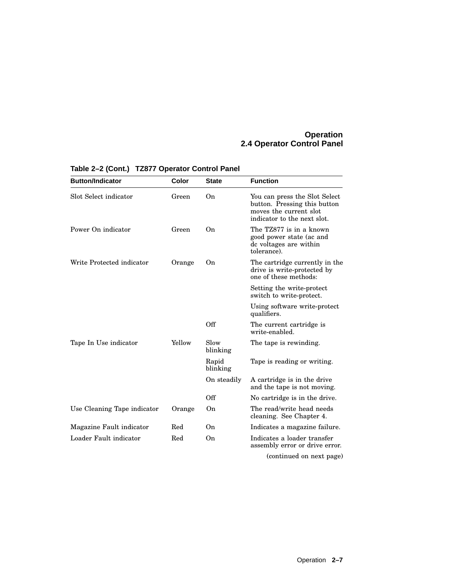#### **Operation 2.4 Operator Control Panel**

| <b>Button/Indicator</b>     | Color  | <b>State</b>      | <b>Function</b>                                                                                                        |
|-----------------------------|--------|-------------------|------------------------------------------------------------------------------------------------------------------------|
| Slot Select indicator       | Green  | On                | You can press the Slot Select<br>button. Pressing this button<br>moves the current slot<br>indicator to the next slot. |
| Power On indicator          | Green  | On                | The TZ877 is in a known<br>good power state (ac and<br>de voltages are within<br>tolerance).                           |
| Write Protected indicator   | Orange | On                | The cartridge currently in the<br>drive is write-protected by<br>one of these methods:                                 |
|                             |        |                   | Setting the write-protect<br>switch to write-protect.                                                                  |
|                             |        |                   | Using software write-protect<br>qualifiers.                                                                            |
|                             |        | Off               | The current cartridge is<br>write-enabled.                                                                             |
| Tape In Use indicator       | Yellow | Slow<br>blinking  | The tape is rewinding.                                                                                                 |
|                             |        | Rapid<br>blinking | Tape is reading or writing.                                                                                            |
|                             |        | On steadily       | A cartridge is in the drive<br>and the tape is not moving.                                                             |
|                             |        | Off               | No cartridge is in the drive.                                                                                          |
| Use Cleaning Tape indicator | Orange | On                | The read/write head needs<br>cleaning. See Chapter 4.                                                                  |
| Magazine Fault indicator    | Red    | On                | Indicates a magazine failure.                                                                                          |
| Loader Fault indicator      | Red    | 0 <sub>n</sub>    | Indicates a loader transfer<br>assembly error or drive error.                                                          |
|                             |        |                   | $\lambda$ and $\lambda$ and $\lambda$ and $\lambda$ and $\lambda$                                                      |

## **Table 2–2 (Cont.) TZ877 Operator Control Panel**

(continued on next page)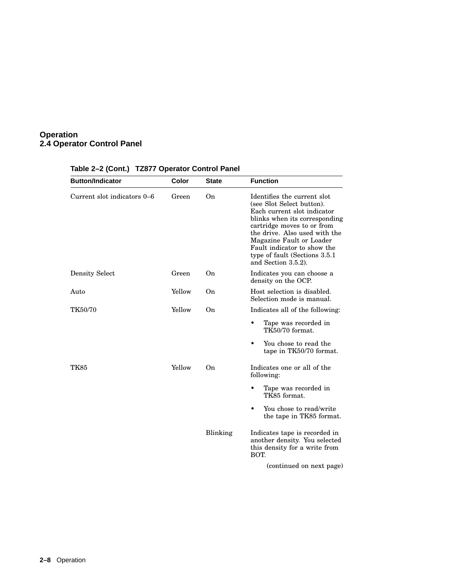#### **Operation 2.4 Operator Control Panel**

| <b>Button/Indicator</b>     | Color  | <b>State</b> | <b>Function</b>                                                                                                                                                                                                                                                                                             |
|-----------------------------|--------|--------------|-------------------------------------------------------------------------------------------------------------------------------------------------------------------------------------------------------------------------------------------------------------------------------------------------------------|
| Current slot indicators 0-6 | Green  | On           | Identifies the current slot<br>(see Slot Select button).<br>Each current slot indicator<br>blinks when its corresponding<br>cartridge moves to or from<br>the drive. Also used with the<br>Magazine Fault or Loader<br>Fault indicator to show the<br>type of fault (Sections 3.5.1)<br>and Section 3.5.2). |
| <b>Density Select</b>       | Green  | On           | Indicates you can choose a<br>density on the OCP.                                                                                                                                                                                                                                                           |
| Auto                        | Yellow | On           | Host selection is disabled.<br>Selection mode is manual.                                                                                                                                                                                                                                                    |
| <b>TK50/70</b>              | Yellow | On           | Indicates all of the following:                                                                                                                                                                                                                                                                             |
|                             |        |              | Tape was recorded in<br>TK50/70 format.                                                                                                                                                                                                                                                                     |
|                             |        |              | You chose to read the<br>tape in TK50/70 format.                                                                                                                                                                                                                                                            |
| TK85                        | Yellow | On           | Indicates one or all of the<br>following:                                                                                                                                                                                                                                                                   |
|                             |        |              | Tape was recorded in<br>TK85 format.                                                                                                                                                                                                                                                                        |
|                             |        |              | You chose to read/write<br>the tape in TK85 format.                                                                                                                                                                                                                                                         |
|                             |        | Blinking     | Indicates tape is recorded in<br>another density. You selected<br>this density for a write from<br>BOT.                                                                                                                                                                                                     |
|                             |        |              | (continued on next page)                                                                                                                                                                                                                                                                                    |

## **Table 2–2 (Cont.) TZ877 Operator Control Panel**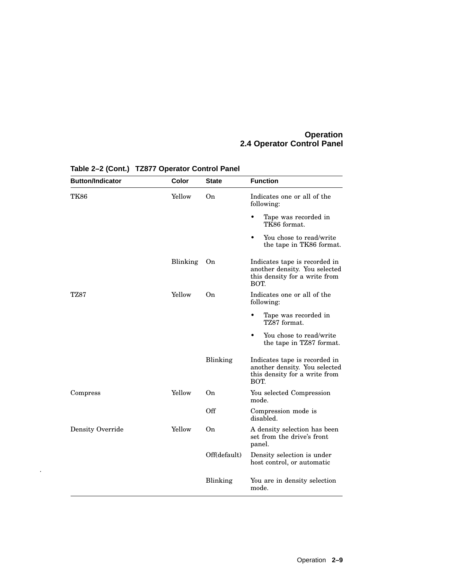#### **Operation 2.4 Operator Control Panel**

| <b>Button/Indicator</b> | Color    | <b>State</b> | <b>Function</b>                                                                                         |
|-------------------------|----------|--------------|---------------------------------------------------------------------------------------------------------|
| <b>TK86</b>             | Yellow   | On           | Indicates one or all of the<br>following:                                                               |
|                         |          |              | $\bullet$<br>Tape was recorded in<br>TK86 format.                                                       |
|                         |          |              | You chose to read/write<br>$\bullet$<br>the tape in TK86 format.                                        |
|                         | Blinking | On           | Indicates tape is recorded in<br>another density. You selected<br>this density for a write from<br>BOT. |
| <b>TZ87</b>             | Yellow   | On.          | Indicates one or all of the<br>following:                                                               |
|                         |          |              | Tape was recorded in<br>TZ87 format.                                                                    |
|                         |          |              | You chose to read/write<br>٠<br>the tape in TZ87 format.                                                |
|                         |          | Blinking     | Indicates tape is recorded in<br>another density. You selected<br>this density for a write from<br>BOT. |
| Compress                | Yellow   | On           | You selected Compression<br>mode.                                                                       |
|                         |          | Off          | Compression mode is<br>disabled.                                                                        |
| Density Override        | Yellow   | On           | A density selection has been<br>set from the drive's front<br>panel.                                    |
|                         |          | Off(default) | Density selection is under<br>host control, or automatic                                                |
|                         |          | Blinking     | You are in density selection<br>mode.                                                                   |

**Table 2–2 (Cont.) TZ877 Operator Control Panel**

.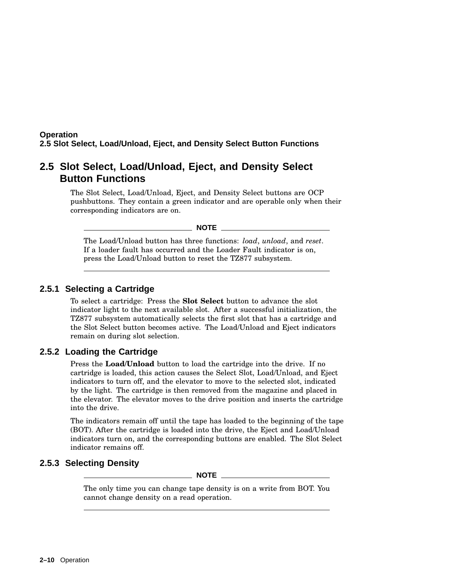#### **Operation 2.5 Slot Select, Load/Unload, Eject, and Density Select Button Functions**

## **2.5 Slot Select, Load/Unload, Eject, and Density Select Button Functions**

The Slot Select, Load/Unload, Eject, and Density Select buttons are OCP pushbuttons. They contain a green indicator and are operable only when their corresponding indicators are on.

**NOTE**

The Load/Unload button has three functions: *load*, *unload*, and *reset*. If a loader fault has occurred and the Loader Fault indicator is on, press the Load/Unload button to reset the TZ877 subsystem.

#### **2.5.1 Selecting a Cartridge**

To select a cartridge: Press the **Slot Select** button to advance the slot indicator light to the next available slot. After a successful initialization, the TZ877 subsystem automatically selects the first slot that has a cartridge and the Slot Select button becomes active. The Load/Unload and Eject indicators remain on during slot selection.

#### **2.5.2 Loading the Cartridge**

Press the **Load/Unload** button to load the cartridge into the drive. If no cartridge is loaded, this action causes the Select Slot, Load/Unload, and Eject indicators to turn off, and the elevator to move to the selected slot, indicated by the light. The cartridge is then removed from the magazine and placed in the elevator. The elevator moves to the drive position and inserts the cartridge into the drive.

The indicators remain off until the tape has loaded to the beginning of the tape (BOT). After the cartridge is loaded into the drive, the Eject and Load/Unload indicators turn on, and the corresponding buttons are enabled. The Slot Select indicator remains off.

### **2.5.3 Selecting Density**

**NOTE**

The only time you can change tape density is on a write from BOT. You cannot change density on a read operation.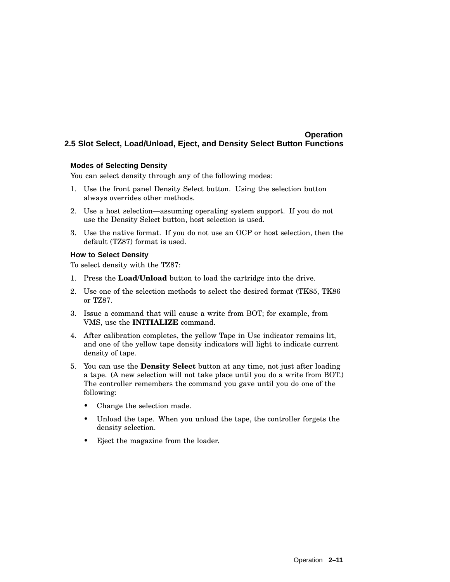#### **Operation 2.5 Slot Select, Load/Unload, Eject, and Density Select Button Functions**

#### **Modes of Selecting Density**

You can select density through any of the following modes:

- 1. Use the front panel Density Select button. Using the selection button always overrides other methods.
- 2. Use a host selection—assuming operating system support. If you do not use the Density Select button, host selection is used.
- 3. Use the native format. If you do not use an OCP or host selection, then the default (TZ87) format is used.

#### **How to Select Density**

To select density with the TZ87:

- 1. Press the **Load/Unload** button to load the cartridge into the drive.
- 2. Use one of the selection methods to select the desired format (TK85, TK86 or TZ87.
- 3. Issue a command that will cause a write from BOT; for example, from VMS, use the **INITIALIZE** command.
- 4. After calibration completes, the yellow Tape in Use indicator remains lit, and one of the yellow tape density indicators will light to indicate current density of tape.
- 5. You can use the **Density Select** button at any time, not just after loading a tape. (A new selection will not take place until you do a write from BOT.) The controller remembers the command you gave until you do one of the following:
	- Change the selection made.
	- Unload the tape. When you unload the tape, the controller forgets the density selection.
	- Eject the magazine from the loader.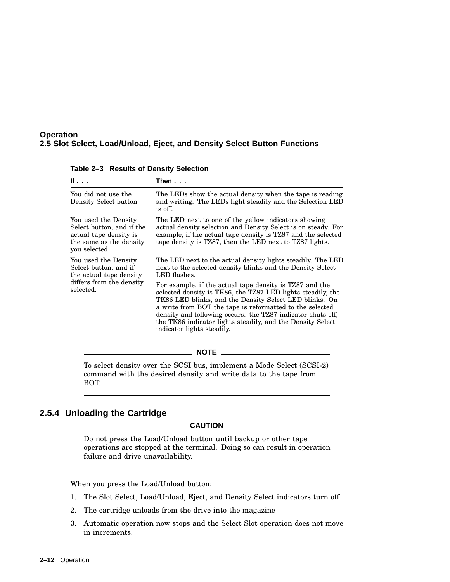#### **Operation 2.5 Slot Select, Load/Unload, Eject, and Density Select Button Functions**

| Then...                                                                                                                                                                                                                                                                                                                                                                                                 |
|---------------------------------------------------------------------------------------------------------------------------------------------------------------------------------------------------------------------------------------------------------------------------------------------------------------------------------------------------------------------------------------------------------|
| The LEDs show the actual density when the tape is reading<br>and writing. The LEDs light steadily and the Selection LED<br>is off.                                                                                                                                                                                                                                                                      |
| The LED next to one of the yellow indicators showing<br>actual density selection and Density Select is on steady. For<br>example, if the actual tape density is TZ87 and the selected<br>tape density is TZ87, then the LED next to TZ87 lights.                                                                                                                                                        |
| The LED next to the actual density lights steadily. The LED<br>next to the selected density blinks and the Density Select<br>LED flashes.                                                                                                                                                                                                                                                               |
| For example, if the actual tape density is TZ87 and the<br>selected density is TK86, the TZ87 LED lights steadily, the<br>TK86 LED blinks, and the Density Select LED blinks. On<br>a write from BOT the tape is reformatted to the selected<br>density and following occurs: the TZ87 indicator shuts off.<br>the TK86 indicator lights steadily, and the Density Select<br>indicator lights steadily. |
|                                                                                                                                                                                                                                                                                                                                                                                                         |

**Table 2–3 Results of Density Selection**

To select density over the SCSI bus, implement a Mode Select (SCSI-2) command with the desired density and write data to the tape from BOT.

**NOTE**

#### **2.5.4 Unloading the Cartridge**

**CAUTION**

Do not press the Load/Unload button until backup or other tape operations are stopped at the terminal. Doing so can result in operation failure and drive unavailability.

When you press the Load/Unload button:

- 1. The Slot Select, Load/Unload, Eject, and Density Select indicators turn off
- 2. The cartridge unloads from the drive into the magazine
- 3. Automatic operation now stops and the Select Slot operation does not move in increments.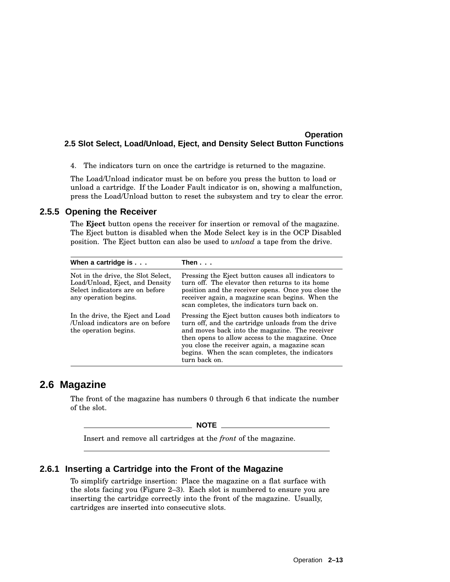#### **Operation 2.5 Slot Select, Load/Unload, Eject, and Density Select Button Functions**

4. The indicators turn on once the cartridge is returned to the magazine.

The Load/Unload indicator must be on before you press the button to load or unload a cartridge. If the Loader Fault indicator is on, showing a malfunction, press the Load/Unload button to reset the subsystem and try to clear the error.

#### **2.5.5 Opening the Receiver**

The **Eject** button opens the receiver for insertion or removal of the magazine. The Eject button is disabled when the Mode Select key is in the OCP Disabled position. The Eject button can also be used to *unload* a tape from the drive.

| When a cartridge is $\ldots$                                                                                                      | Then $\ldots$                                                                                                                                                                                                                                                                                                                        |
|-----------------------------------------------------------------------------------------------------------------------------------|--------------------------------------------------------------------------------------------------------------------------------------------------------------------------------------------------------------------------------------------------------------------------------------------------------------------------------------|
| Not in the drive, the Slot Select,<br>Load/Unload, Eject, and Density<br>Select indicators are on before<br>any operation begins. | Pressing the Eject button causes all indicators to<br>turn off. The elevator then returns to its home<br>position and the receiver opens. Once you close the<br>receiver again, a magazine scan begins. When the<br>scan completes, the indicators turn back on.                                                                     |
| In the drive, the Eject and Load<br>/Unload indicators are on before<br>the operation begins.                                     | Pressing the Eject button causes both indicators to<br>turn off, and the cartridge unloads from the drive<br>and moves back into the magazine. The receiver<br>then opens to allow access to the magazine. Once<br>you close the receiver again, a magazine scan<br>begins. When the scan completes, the indicators<br>turn back on. |

# **2.6 Magazine**

The front of the magazine has numbers 0 through 6 that indicate the number of the slot.

**NOTE**

Insert and remove all cartridges at the *front* of the magazine.

#### **2.6.1 Inserting a Cartridge into the Front of the Magazine**

To simplify cartridge insertion: Place the magazine on a flat surface with the slots facing you (Figure 2–3). Each slot is numbered to ensure you are inserting the cartridge correctly into the front of the magazine. Usually, cartridges are inserted into consecutive slots.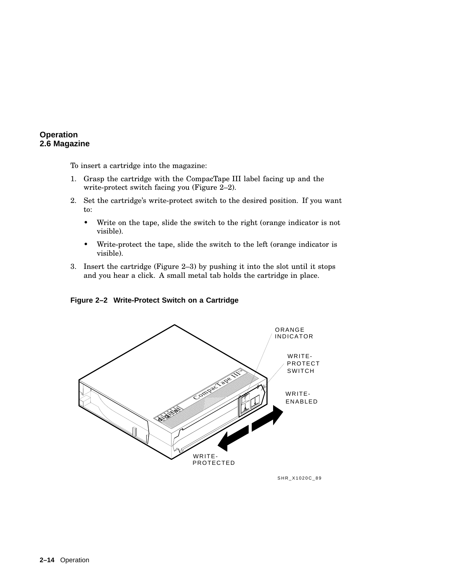To insert a cartridge into the magazine:

- 1. Grasp the cartridge with the CompacTape III label facing up and the write-protect switch facing you (Figure 2–2).
- 2. Set the cartridge's write-protect switch to the desired position. If you want to:
	- Write on the tape, slide the switch to the right (orange indicator is not visible).
	- Write-protect the tape, slide the switch to the left (orange indicator is visible).
- 3. Insert the cartridge (Figure 2–3) by pushing it into the slot until it stops and you hear a click. A small metal tab holds the cartridge in place.

**Figure 2–2 Write-Protect Switch on a Cartridge**



SHR\_X1020C\_89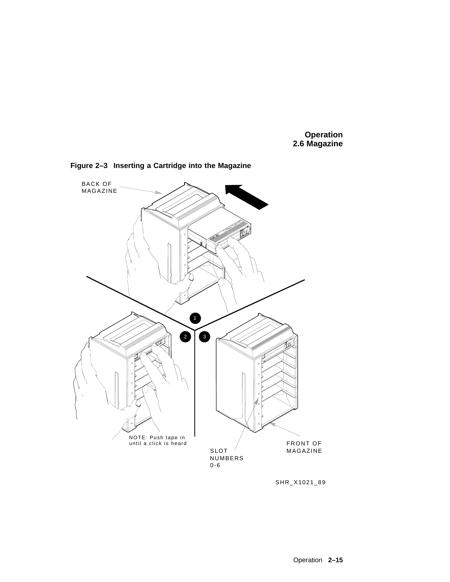

**Figure 2–3 Inserting a Cartridge into the Magazine**

SHR\_X1021\_89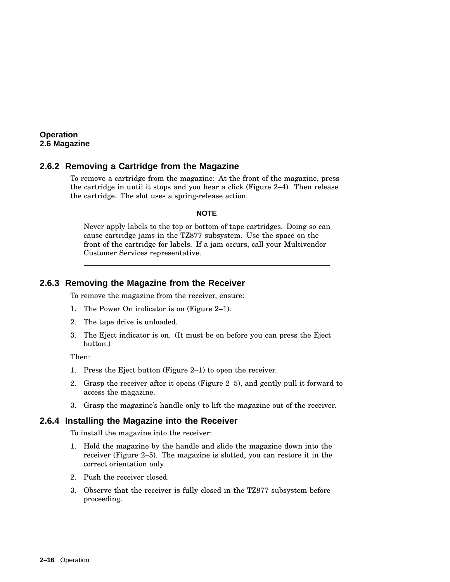#### **2.6.2 Removing a Cartridge from the Magazine**

To remove a cartridge from the magazine: At the front of the magazine, press the cartridge in until it stops and you hear a click (Figure 2–4). Then release the cartridge. The slot uses a spring-release action.

**NOTE**

Never apply labels to the top or bottom of tape cartridges. Doing so can cause cartridge jams in the TZ877 subsystem. Use the space on the front of the cartridge for labels. If a jam occurs, call your Multivendor Customer Services representative.

#### **2.6.3 Removing the Magazine from the Receiver**

To remove the magazine from the receiver, ensure:

- 1. The Power On indicator is on (Figure 2–1).
- 2. The tape drive is unloaded.
- 3. The Eject indicator is on. (It must be on before you can press the Eject button.)

Then:

- 1. Press the Eject button (Figure 2–1) to open the receiver.
- 2. Grasp the receiver after it opens (Figure 2–5), and gently pull it forward to access the magazine.
- 3. Grasp the magazine's handle only to lift the magazine out of the receiver.

#### **2.6.4 Installing the Magazine into the Receiver**

To install the magazine into the receiver:

- 1. Hold the magazine by the handle and slide the magazine down into the receiver (Figure 2–5). The magazine is slotted, you can restore it in the correct orientation only.
- 2. Push the receiver closed.
- 3. Observe that the receiver is fully closed in the TZ877 subsystem before proceeding.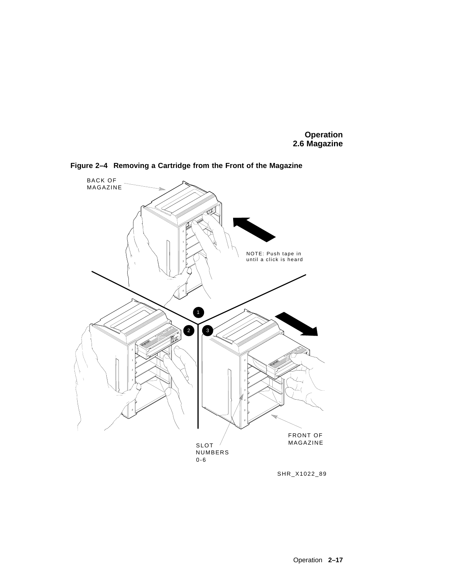

**Figure 2–4 Removing a Cartridge from the Front of the Magazine**

SHR\_X1022\_89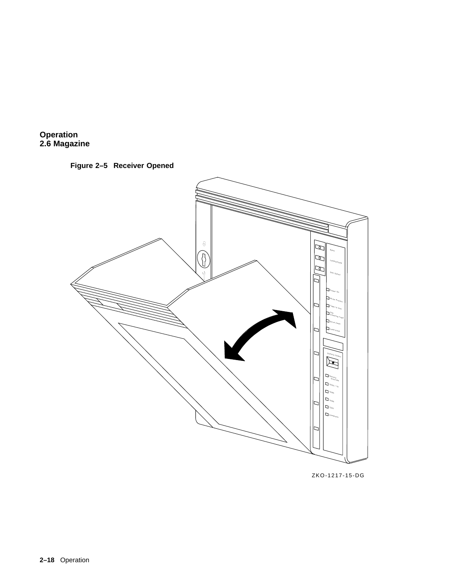



ZKO-1217-15-DG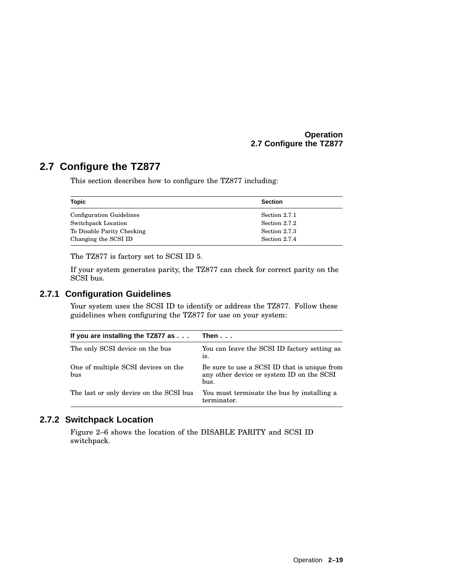#### **Operation 2.7 Configure the TZ877**

# **2.7 Configure the TZ877**

This section describes how to configure the TZ877 including:

| <b>Topic</b>                    | <b>Section</b> |
|---------------------------------|----------------|
| <b>Configuration Guidelines</b> | Section 2.7.1  |
| Switchpack Location             | Section 2.7.2  |
| To Disable Parity Checking      | Section 2.7.3  |
| Changing the SCSI ID            | Section 2.7.4  |

The TZ877 is factory set to SCSI ID 5.

If your system generates parity, the TZ877 can check for correct parity on the SCSI bus.

### **2.7.1 Configuration Guidelines**

Your system uses the SCSI ID to identify or address the TZ877. Follow these guidelines when configuring the TZ877 for use on your system:

| If you are installing the TZ877 as $\dots$ | Then                                                                                              |
|--------------------------------------------|---------------------------------------------------------------------------------------------------|
| The only SCSI device on the bus            | You can leave the SCSI ID factory setting as<br>is.                                               |
| One of multiple SCSI devices on the<br>bus | Be sure to use a SCSI ID that is unique from<br>any other device or system ID on the SCSI<br>bus. |
| The last or only device on the SCSI bus    | You must terminate the bus by installing a<br>terminator.                                         |

#### **2.7.2 Switchpack Location**

Figure 2–6 shows the location of the DISABLE PARITY and SCSI ID switchpack.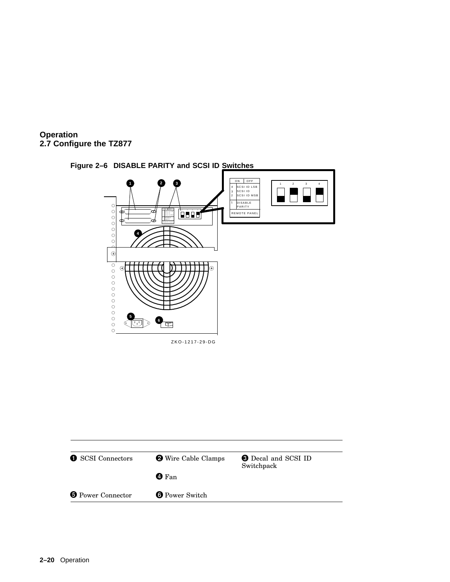



**Figure 2–6 DISABLE PARITY and SCSI ID Switches**

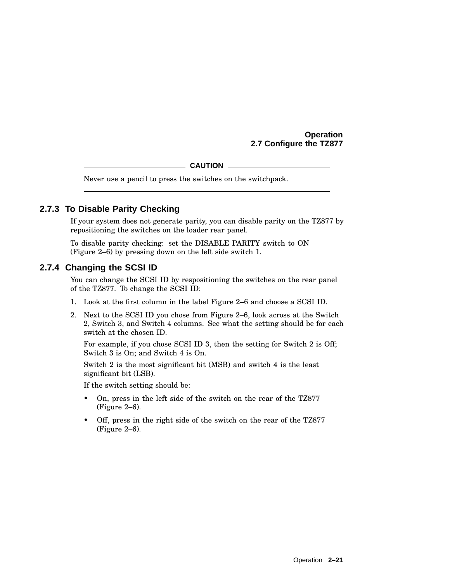**Operation 2.7 Configure the TZ877**

**CAUTION**

Never use a pencil to press the switches on the switchpack.

#### **2.7.3 To Disable Parity Checking**

If your system does not generate parity, you can disable parity on the TZ877 by repositioning the switches on the loader rear panel.

To disable parity checking: set the DISABLE PARITY switch to ON (Figure 2–6) by pressing down on the left side switch 1.

#### **2.7.4 Changing the SCSI ID**

You can change the SCSI ID by respositioning the switches on the rear panel of the TZ877. To change the SCSI ID:

- 1. Look at the first column in the label Figure 2–6 and choose a SCSI ID.
- 2. Next to the SCSI ID you chose from Figure 2–6, look across at the Switch 2, Switch 3, and Switch 4 columns. See what the setting should be for each switch at the chosen ID.

For example, if you chose SCSI ID 3, then the setting for Switch 2 is Off; Switch 3 is On; and Switch 4 is On.

Switch 2 is the most significant bit (MSB) and switch 4 is the least significant bit (LSB).

If the switch setting should be:

- On, press in the left side of the switch on the rear of the TZ877 (Figure 2–6).
- Off, press in the right side of the switch on the rear of the TZ877 (Figure 2–6).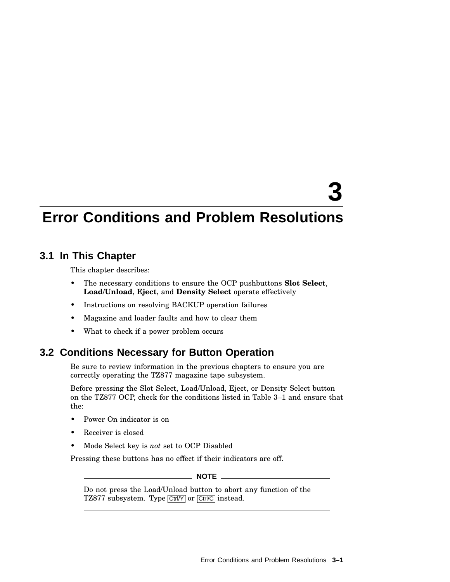# **3**

# **Error Conditions and Problem Resolutions**

# **3.1 In This Chapter**

This chapter describes:

- The necessary conditions to ensure the OCP pushbuttons **Slot Select**, **Load/Unload**, **Eject**, and **Density Select** operate effectively
- Instructions on resolving BACKUP operation failures
- Magazine and loader faults and how to clear them
- What to check if a power problem occurs

# **3.2 Conditions Necessary for Button Operation**

Be sure to review information in the previous chapters to ensure you are correctly operating the TZ877 magazine tape subsystem.

Before pressing the Slot Select, Load/Unload, Eject, or Density Select button on the TZ877 OCP, check for the conditions listed in Table 3–1 and ensure that the:

- Power On indicator is on
- Receiver is closed
- Mode Select key is *not* set to OCP Disabled

Pressing these buttons has no effect if their indicators are off.

**NOTE**

Do not press the Load/Unload button to abort any function of the TZ877 subsystem. Type Ctrl/Y or Ctrl/C instead.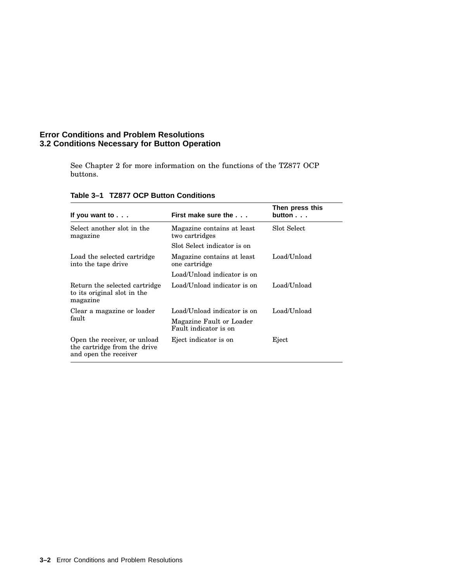#### **Error Conditions and Problem Resolutions 3.2 Conditions Necessary for Button Operation**

See Chapter 2 for more information on the functions of the TZ877 OCP buttons.

| If you want to $\ldots$                                                               | First make sure the                               | Then press this<br>button |
|---------------------------------------------------------------------------------------|---------------------------------------------------|---------------------------|
| Select another slot in the<br>magazine                                                | Magazine contains at least<br>two cartridges      | Slot Select               |
|                                                                                       | Slot Select indicator is on                       |                           |
| Load the selected cartridge<br>into the tape drive                                    | Magazine contains at least<br>one cartridge       | Load/Unload               |
|                                                                                       | Load/Unload indicator is on                       |                           |
| Return the selected cartridge<br>to its original slot in the<br>magazine              | Load/Unload indicator is on                       | Load/Unload               |
| Clear a magazine or loader                                                            | Load/Unload indicator is on                       | Load/Unload               |
| fault                                                                                 | Magazine Fault or Loader<br>Fault indicator is on |                           |
| Open the receiver, or unload<br>the cartridge from the drive<br>and open the receiver | Eject indicator is on                             | Eject                     |

#### **Table 3–1 TZ877 OCP Button Conditions**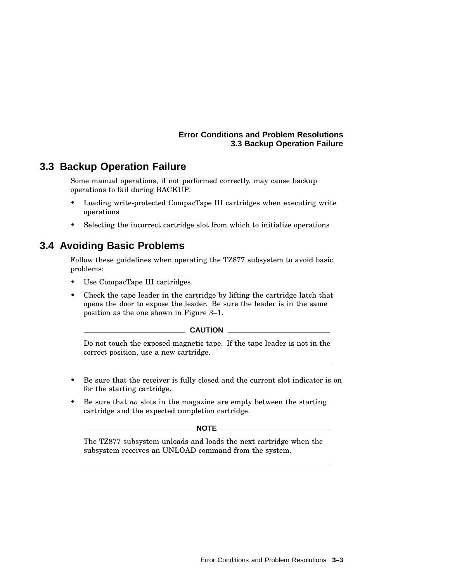#### **Error Conditions and Problem Resolutions 3.3 Backup Operation Failure**

# **3.3 Backup Operation Failure**

Some manual operations, if not performed correctly, may cause backup operations to fail during BACKUP:

- Loading write-protected CompacTape III cartridges when executing write operations
- Selecting the incorrect cartridge slot from which to initialize operations

# **3.4 Avoiding Basic Problems**

Follow these guidelines when operating the TZ877 subsystem to avoid basic problems:

- Use CompacTape III cartridges.
- Check the tape leader in the cartridge by lifting the cartridge latch that opens the door to expose the leader. Be sure the leader is in the same position as the one shown in Figure 3–1.

**CAUTION**

Do not touch the exposed magnetic tape. If the tape leader is not in the correct position, use a new cartridge.

- Be sure that the receiver is fully closed and the current slot indicator is on for the starting cartridge.
- Be sure that *no* slots in the magazine are empty between the starting cartridge and the expected completion cartridge.

#### **NOTE** \_\_\_\_\_

The TZ877 subsystem unloads and loads the next cartridge when the subsystem receives an UNLOAD command from the system.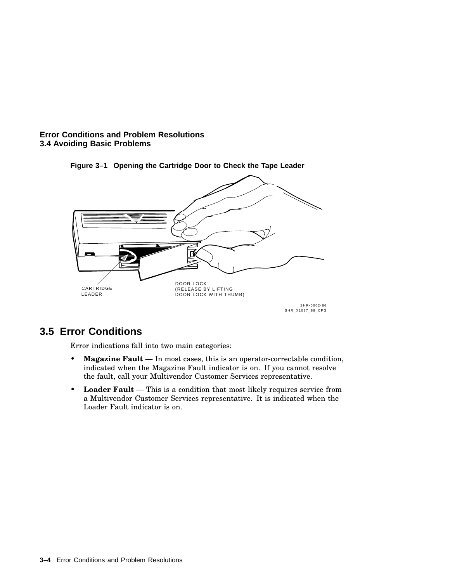#### **Error Conditions and Problem Resolutions 3.4 Avoiding Basic Problems**



#### **Figure 3–1 Opening the Cartridge Door to Check the Tape Leader**

# **3.5 Error Conditions**

Error indications fall into two main categories:

- **Magazine Fault** In most cases, this is an operator-correctable condition, indicated when the Magazine Fault indicator is on. If you cannot resolve the fault, call your Multivendor Customer Services representative.
- **Loader Fault** This is a condition that most likely requires service from a Multivendor Customer Services representative. It is indicated when the Loader Fault indicator is on.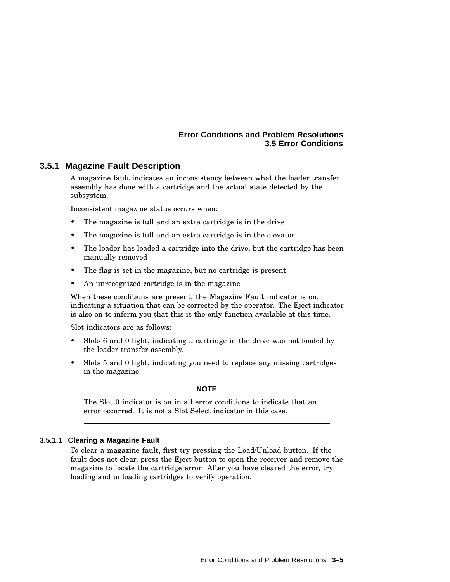#### **Error Conditions and Problem Resolutions 3.5 Error Conditions**

#### **3.5.1 Magazine Fault Description**

A magazine fault indicates an inconsistency between what the loader transfer assembly has done with a cartridge and the actual state detected by the subsystem.

Inconsistent magazine status occurs when:

- The magazine is full and an extra cartridge is in the drive
- The magazine is full and an extra cartridge is in the elevator
- The loader has loaded a cartridge into the drive, but the cartridge has been manually removed
- The flag is set in the magazine, but no cartridge is present
- An unrecognized cartridge is in the magazine

When these conditions are present, the Magazine Fault indicator is on, indicating a situation that can be corrected by the operator. The Eject indicator is also on to inform you that this is the only function available at this time.

Slot indicators are as follows:

- Slots 6 and 0 light, indicating a cartridge in the drive was not loaded by the loader transfer assembly.
- Slots 5 and 0 light, indicating you need to replace any missing cartridges in the magazine.

**NOTE**

The Slot 0 indicator is on in all error conditions to indicate that an error occurred. It is not a Slot Select indicator in this case.

#### **3.5.1.1 Clearing a Magazine Fault**

To clear a magazine fault, first try pressing the Load/Unload button. If the fault does not clear, press the Eject button to open the receiver and remove the magazine to locate the cartridge error. After you have cleared the error, try loading and unloading cartridges to verify operation.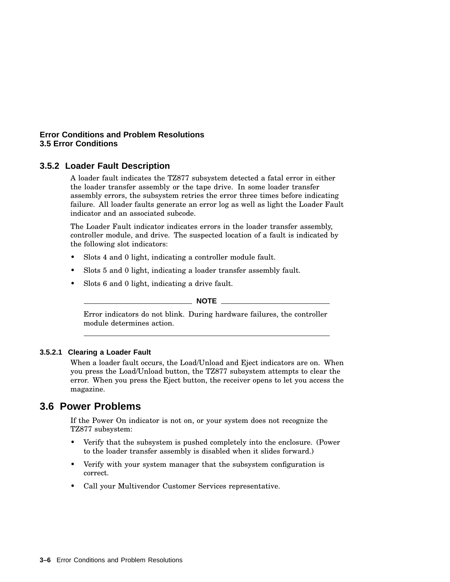#### **Error Conditions and Problem Resolutions 3.5 Error Conditions**

#### **3.5.2 Loader Fault Description**

A loader fault indicates the TZ877 subsystem detected a fatal error in either the loader transfer assembly or the tape drive. In some loader transfer assembly errors, the subsystem retries the error three times before indicating failure. All loader faults generate an error log as well as light the Loader Fault indicator and an associated subcode.

The Loader Fault indicator indicates errors in the loader transfer assembly, controller module, and drive. The suspected location of a fault is indicated by the following slot indicators:

- Slots 4 and 0 light, indicating a controller module fault.
- Slots 5 and 0 light, indicating a loader transfer assembly fault.
- Slots 6 and 0 light, indicating a drive fault.

## **NOTE**

Error indicators do not blink. During hardware failures, the controller module determines action.

#### **3.5.2.1 Clearing a Loader Fault**

When a loader fault occurs, the Load/Unload and Eject indicators are on. When you press the Load/Unload button, the TZ877 subsystem attempts to clear the error. When you press the Eject button, the receiver opens to let you access the magazine.

## **3.6 Power Problems**

If the Power On indicator is not on, or your system does not recognize the TZ877 subsystem:

- Verify that the subsystem is pushed completely into the enclosure. (Power to the loader transfer assembly is disabled when it slides forward.)
- Verify with your system manager that the subsystem configuration is correct.
- Call your Multivendor Customer Services representative.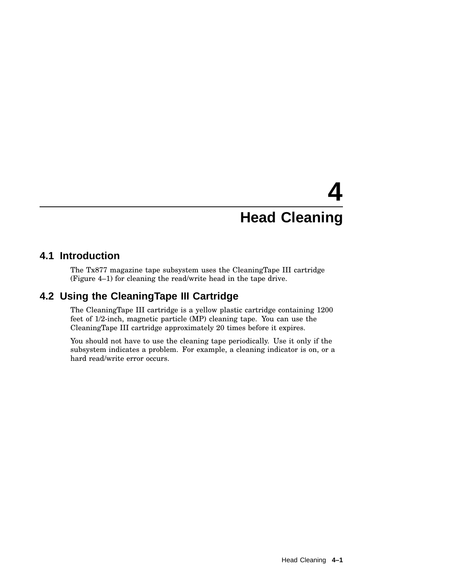# **4 Head Cleaning**

## **4.1 Introduction**

The Tx877 magazine tape subsystem uses the CleaningTape III cartridge (Figure 4–1) for cleaning the read/write head in the tape drive.

# **4.2 Using the CleaningTape III Cartridge**

The CleaningTape III cartridge is a yellow plastic cartridge containing 1200 feet of 1/2-inch, magnetic particle (MP) cleaning tape. You can use the CleaningTape III cartridge approximately 20 times before it expires.

You should not have to use the cleaning tape periodically. Use it only if the subsystem indicates a problem. For example, a cleaning indicator is on, or a hard read/write error occurs.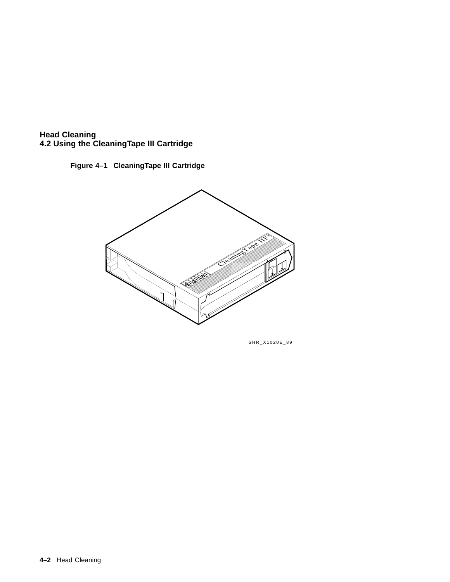





SHR\_X1020E\_89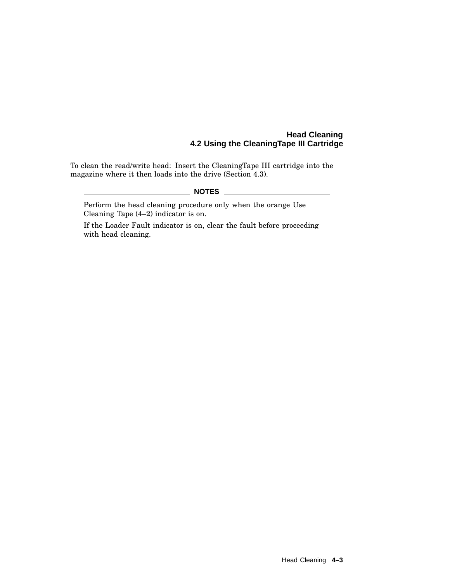#### **Head Cleaning 4.2 Using the CleaningTape III Cartridge**

To clean the read/write head: Insert the CleaningTape III cartridge into the magazine where it then loads into the drive (Section 4.3).

#### **NOTES**

Perform the head cleaning procedure only when the orange Use Cleaning Tape (4–2) indicator is on.

If the Loader Fault indicator is on, clear the fault before proceeding with head cleaning.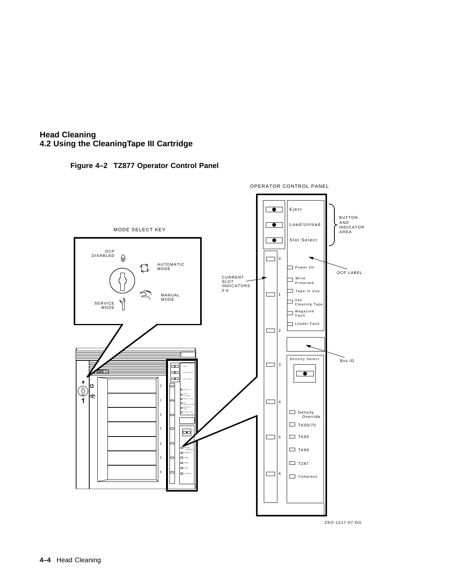





ZKO-1217-07-DG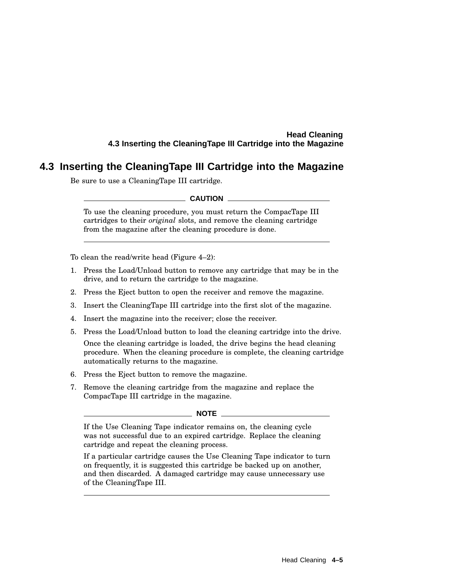#### **Head Cleaning 4.3 Inserting the CleaningTape III Cartridge into the Magazine**

# **4.3 Inserting the CleaningTape III Cartridge into the Magazine**

Be sure to use a CleaningTape III cartridge.

#### **CAUTION**

To use the cleaning procedure, you must return the CompacTape III cartridges to their *original* slots, and remove the cleaning cartridge from the magazine after the cleaning procedure is done.

To clean the read/write head (Figure 4–2):

- 1. Press the Load/Unload button to remove any cartridge that may be in the drive, and to return the cartridge to the magazine.
- 2. Press the Eject button to open the receiver and remove the magazine.
- 3. Insert the CleaningTape III cartridge into the first slot of the magazine.
- 4. Insert the magazine into the receiver; close the receiver.
- 5. Press the Load/Unload button to load the cleaning cartridge into the drive.

Once the cleaning cartridge is loaded, the drive begins the head cleaning procedure. When the cleaning procedure is complete, the cleaning cartridge automatically returns to the magazine.

- 6. Press the Eject button to remove the magazine.
- 7. Remove the cleaning cartridge from the magazine and replace the CompacTape III cartridge in the magazine.

#### **NOTE**

If the Use Cleaning Tape indicator remains on, the cleaning cycle was not successful due to an expired cartridge. Replace the cleaning cartridge and repeat the cleaning process.

If a particular cartridge causes the Use Cleaning Tape indicator to turn on frequently, it is suggested this cartridge be backed up on another, and then discarded. A damaged cartridge may cause unnecessary use of the CleaningTape III.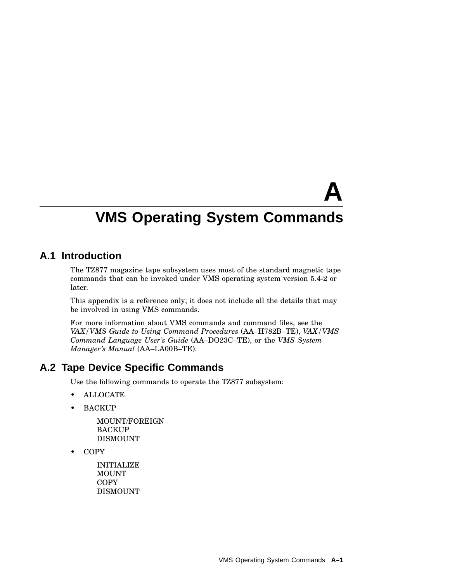# **A**

# **VMS Operating System Commands**

# **A.1 Introduction**

The TZ877 magazine tape subsystem uses most of the standard magnetic tape commands that can be invoked under VMS operating system version 5.4-2 or later.

This appendix is a reference only; it does not include all the details that may be involved in using VMS commands.

For more information about VMS commands and command files, see the *VAX/VMS Guide to Using Command Procedures* (AA–H782B–TE), *VAX/VMS Command Language User's Guide* (AA–DO23C–TE), or the *VMS System Manager's Manual* (AA–LA00B–TE).

## **A.2 Tape Device Specific Commands**

Use the following commands to operate the TZ877 subsystem:

- ALLOCATE
- BACKUP

MOUNT/FOREIGN BACKUP DISMOUNT

• COPY

INITIALIZE MOUNT **COPY** DISMOUNT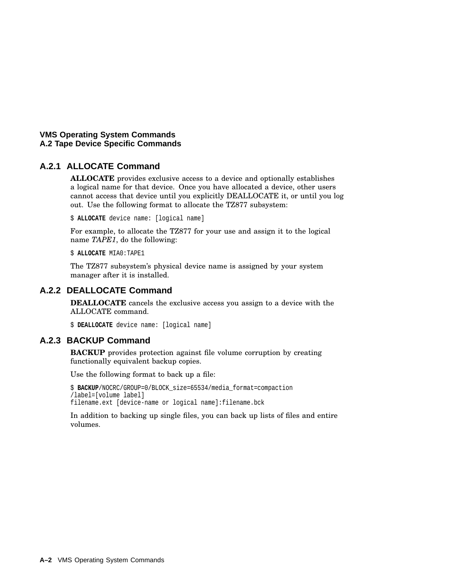#### **A.2.1 ALLOCATE Command**

**ALLOCATE** provides exclusive access to a device and optionally establishes a logical name for that device. Once you have allocated a device, other users cannot access that device until you explicitly DEALLOCATE it, or until you log out. Use the following format to allocate the TZ877 subsystem:

\$ **ALLOCATE** device name: [logical name]

For example, to allocate the TZ877 for your use and assign it to the logical name *TAPE1*, do the following:

\$ **ALLOCATE** MIA0:TAPE1

The TZ877 subsystem's physical device name is assigned by your system manager after it is installed.

#### **A.2.2 DEALLOCATE Command**

**DEALLOCATE** cancels the exclusive access you assign to a device with the ALLOCATE command.

\$ **DEALLOCATE** device name: [logical name]

#### **A.2.3 BACKUP Command**

**BACKUP** provides protection against file volume corruption by creating functionally equivalent backup copies.

Use the following format to back up a file:

\$ **BACKUP**/NOCRC/GROUP=0/BLOCK\_size=65534/media\_format=compaction /label=[volume label] filename.ext [device-name or logical name]:filename.bck

In addition to backing up single files, you can back up lists of files and entire volumes.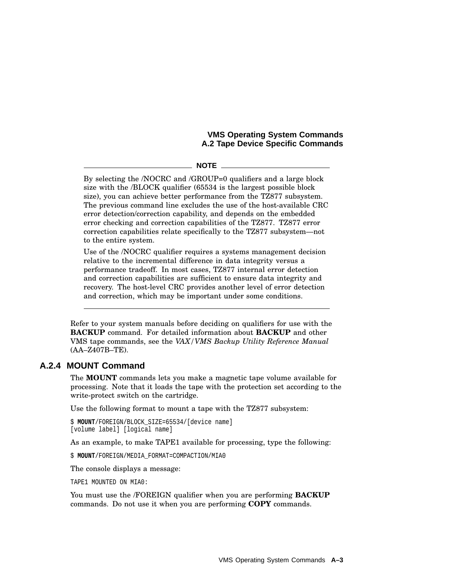$\_$  NOTE  $\_$ 

By selecting the /NOCRC and /GROUP=0 qualifiers and a large block size with the /BLOCK qualifier (65534 is the largest possible block size), you can achieve better performance from the TZ877 subsystem. The previous command line excludes the use of the host-available CRC error detection/correction capability, and depends on the embedded error checking and correction capabilities of the TZ877. TZ877 error correction capabilities relate specifically to the TZ877 subsystem—not to the entire system.

Use of the /NOCRC qualifier requires a systems management decision relative to the incremental difference in data integrity versus a performance tradeoff. In most cases, TZ877 internal error detection and correction capabilities are sufficient to ensure data integrity and recovery. The host-level CRC provides another level of error detection and correction, which may be important under some conditions.

Refer to your system manuals before deciding on qualifiers for use with the **BACKUP** command. For detailed information about **BACKUP** and other VMS tape commands, see the *VAX/VMS Backup Utility Reference Manual* (AA–Z407B–TE).

#### **A.2.4 MOUNT Command**

The **MOUNT** commands lets you make a magnetic tape volume available for processing. Note that it loads the tape with the protection set according to the write-protect switch on the cartridge.

Use the following format to mount a tape with the TZ877 subsystem:

```
$ MOUNT/FOREIGN/BLOCK_SIZE=65534/[device name]
[volume label] [logical name]
```
As an example, to make TAPE1 available for processing, type the following:

\$ **MOUNT**/FOREIGN/MEDIA\_FORMAT=COMPACTION/MIA0

The console displays a message:

TAPE1 MOUNTED ON MIA0:

You must use the /FOREIGN qualifier when you are performing **BACKUP** commands. Do not use it when you are performing **COPY** commands.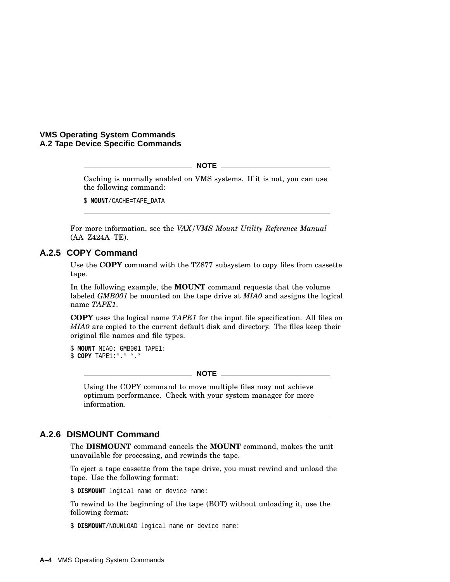**NOTE**

Caching is normally enabled on VMS systems. If it is not, you can use the following command:

\$ **MOUNT**/CACHE=TAPE\_DATA

For more information, see the *VAX/VMS Mount Utility Reference Manual* (AA–Z424A–TE).

#### **A.2.5 COPY Command**

Use the **COPY** command with the TZ877 subsystem to copy files from cassette tape.

In the following example, the **MOUNT** command requests that the volume labeled *GMB001* be mounted on the tape drive at *MIA0* and assigns the logical name *TAPE1*.

**COPY** uses the logical name *TAPE1* for the input file specification. All files on *MIA0* are copied to the current default disk and directory. The files keep their original file names and file types.

```
$ MOUNT MIA0: GMB001 TAPE1:
$ COPY TAPE1:*.* *.*
```
**NOTE**

Using the COPY command to move multiple files may not achieve optimum performance. Check with your system manager for more information.

#### **A.2.6 DISMOUNT Command**

The **DISMOUNT** command cancels the **MOUNT** command, makes the unit unavailable for processing, and rewinds the tape.

To eject a tape cassette from the tape drive, you must rewind and unload the tape. Use the following format:

\$ **DISMOUNT** logical name or device name:

To rewind to the beginning of the tape (BOT) without unloading it, use the following format:

\$ **DISMOUNT**/NOUNLOAD logical name or device name: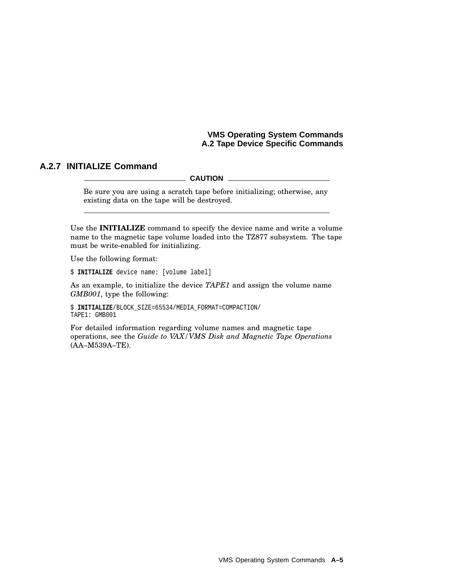#### **A.2.7 INITIALIZE Command**

**CAUTION**

Be sure you are using a scratch tape before initializing; otherwise, any existing data on the tape will be destroyed.

Use the **INITIALIZE** command to specify the device name and write a volume name to the magnetic tape volume loaded into the TZ877 subsystem. The tape must be write-enabled for initializing.

Use the following format:

\$ **INITIALIZE** device name: [volume label]

As an example, to initialize the device *TAPE1* and assign the volume name *GMB001*, type the following:

\$ **INITIALIZE**/BLOCK\_SIZE=65534/MEDIA\_FORMAT=COMPACTION/ TAPE1: GMB001

For detailed information regarding volume names and magnetic tape operations, see the *Guide to VAX/VMS Disk and Magnetic Tape Operations* (AA–M539A–TE).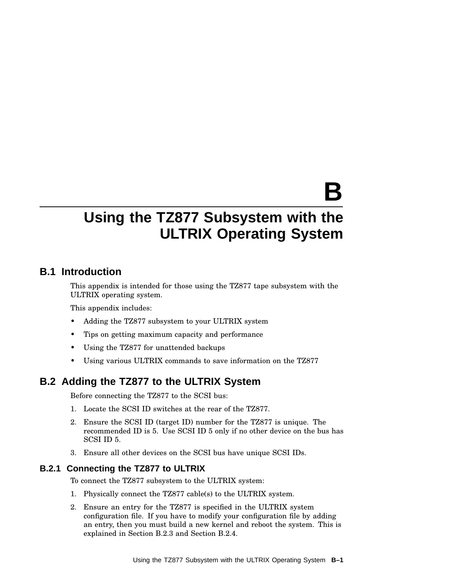# **B**

# **Using the TZ877 Subsystem with the ULTRIX Operating System**

# **B.1 Introduction**

This appendix is intended for those using the TZ877 tape subsystem with the ULTRIX operating system.

This appendix includes:

- Adding the TZ877 subsystem to your ULTRIX system
- Tips on getting maximum capacity and performance
- Using the TZ877 for unattended backups
- Using various ULTRIX commands to save information on the TZ877

# **B.2 Adding the TZ877 to the ULTRIX System**

Before connecting the TZ877 to the SCSI bus:

- 1. Locate the SCSI ID switches at the rear of the TZ877.
- 2. Ensure the SCSI ID (target ID) number for the TZ877 is unique. The recommended ID is 5. Use SCSI ID 5 only if no other device on the bus has SCSI ID 5.
- 3. Ensure all other devices on the SCSI bus have unique SCSI IDs.

#### **B.2.1 Connecting the TZ877 to ULTRIX**

To connect the TZ877 subsystem to the ULTRIX system:

- 1. Physically connect the TZ877 cable(s) to the ULTRIX system.
- 2. Ensure an entry for the TZ877 is specified in the ULTRIX system configuration file. If you have to modify your configuration file by adding an entry, then you must build a new kernel and reboot the system. This is explained in Section B.2.3 and Section B.2.4.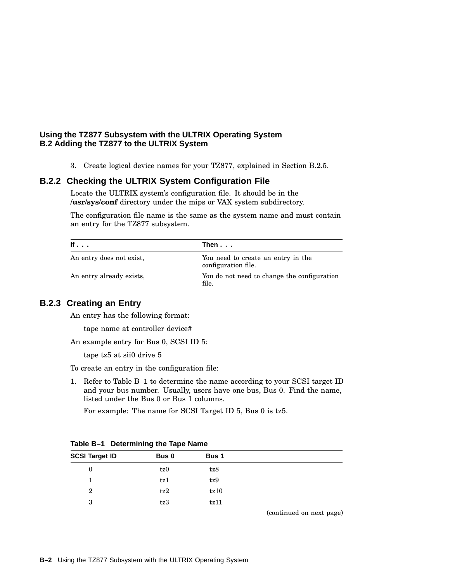#### **Using the TZ877 Subsystem with the ULTRIX Operating System B.2 Adding the TZ877 to the ULTRIX System**

3. Create logical device names for your TZ877, explained in Section B.2.5.

#### **B.2.2 Checking the ULTRIX System Configuration File**

Locate the ULTRIX system's configuration file. It should be in the **/usr/sys/conf** directory under the mips or VAX system subdirectory.

The configuration file name is the same as the system name and must contain an entry for the TZ877 subsystem.

| If $\ldots$              | Then                                                      |
|--------------------------|-----------------------------------------------------------|
| An entry does not exist, | You need to create an entry in the<br>configuration file. |
| An entry already exists, | You do not need to change the configuration<br>file.      |

#### **B.2.3 Creating an Entry**

An entry has the following format:

tape name at controller device#

An example entry for Bus 0, SCSI ID 5:

tape tz5 at sii0 drive 5

To create an entry in the configuration file:

1. Refer to Table B–1 to determine the name according to your SCSI target ID and your bus number. Usually, users have one bus, Bus 0. Find the name, listed under the Bus 0 or Bus 1 columns.

For example: The name for SCSI Target ID 5, Bus 0 is tz5.

| <b>SCSI Target ID</b> | Bus 0 | Bus 1 |                                                                                 |  |
|-----------------------|-------|-------|---------------------------------------------------------------------------------|--|
| $\mathbf 0$           | tz0   | tz8   |                                                                                 |  |
|                       | tz1   | tz9   |                                                                                 |  |
| $\mathbf 2$           | tz2   | tz10  |                                                                                 |  |
| 3                     | tz3   | tz11  |                                                                                 |  |
|                       |       |       | the contract of the contract of the contract of the contract of the contract of |  |

**Table B–1 Determining the Tape Name**

(continued on next page)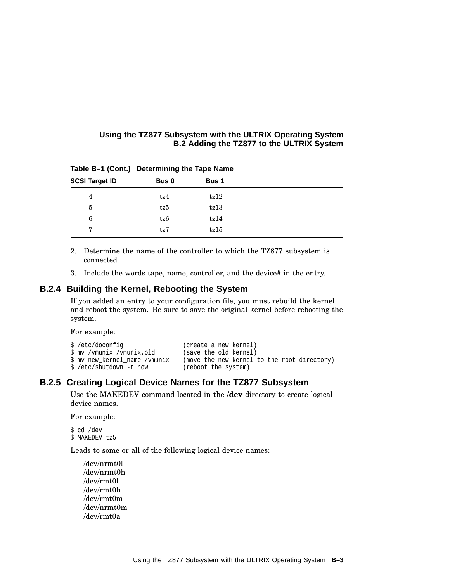#### **Using the TZ877 Subsystem with the ULTRIX Operating System B.2 Adding the TZ877 to the ULTRIX System**

| <b>SCSI Target ID</b> | Bus 0 | Bus 1 |
|-----------------------|-------|-------|
| $\overline{4}$        | tz4   | tz12  |
| 5                     | tz5   | tz13  |
| 6                     | tz6   | tz14  |
| 7                     | tz7   | tz15  |

**Table B–1 (Cont.) Determining the Tape Name**

- 2. Determine the name of the controller to which the TZ877 subsystem is connected.
- 3. Include the words tape, name, controller, and the device# in the entry.

#### **B.2.4 Building the Kernel, Rebooting the System**

If you added an entry to your configuration file, you must rebuild the kernel and reboot the system. Be sure to save the original kernel before rebooting the system.

For example:

| \$ /etc/doconfig              | (create a new kernel)                       |
|-------------------------------|---------------------------------------------|
| \$ mv /vmunix /vmunix.old     | (save the old kernel)                       |
| \$ my new kernel name /vmunix | (move the new kernel to the root directory) |
| \$ /etc/shutdown -r now       | (reboot the system)                         |

#### **B.2.5 Creating Logical Device Names for the TZ877 Subsystem**

Use the MAKEDEV command located in the **/dev** directory to create logical device names.

For example:

\$ cd /dev \$ MAKEDEV tz5

Leads to some or all of the following logical device names:

/dev/nrmt0l /dev/nrmt0h /dev/rmt0l /dev/rmt0h /dev/rmt0m /dev/nrmt0m /dev/rmt0a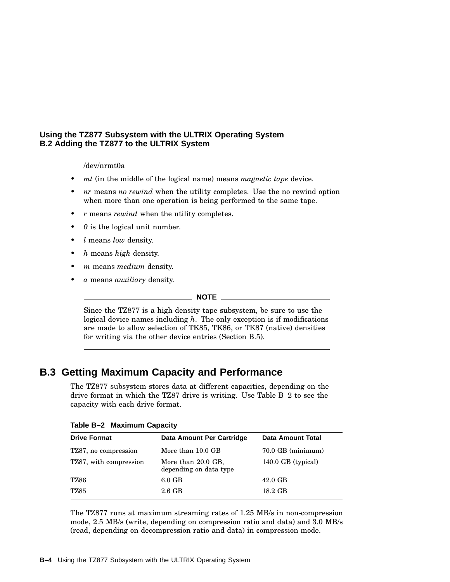#### **Using the TZ877 Subsystem with the ULTRIX Operating System B.2 Adding the TZ877 to the ULTRIX System**

/dev/nrmt0a

- *mt* (in the middle of the logical name) means *magnetic tape* device.
- *nr* means *no rewind* when the utility completes. Use the no rewind option when more than one operation is being performed to the same tape.
- *r* means *rewind* when the utility completes.
- *0* is the logical unit number.
- *l* means *low* density.
- *h* means *high* density.
- *m* means *medium* density.
- *a* means *auxiliary* density.

**NOTE**

Since the TZ877 is a high density tape subsystem, be sure to use the logical device names including *h*. The only exception is if modifications are made to allow selection of TK85, TK86, or TK87 (native) densities for writing via the other device entries (Section B.5).

# **B.3 Getting Maximum Capacity and Performance**

The TZ877 subsystem stores data at different capacities, depending on the drive format in which the TZ87 drive is writing. Use Table B–2 to see the capacity with each drive format.

|  |  | Table B-2 Maximum Capacity |  |  |
|--|--|----------------------------|--|--|
|--|--|----------------------------|--|--|

| Data Amount Per Cartridge                    | Data Amount Total    |
|----------------------------------------------|----------------------|
| More than 10.0 GB                            | 70.0 GB (minimum)    |
| More than 20.0 GB,<br>depending on data type | $140.0$ GB (typical) |
| $6.0$ GB                                     | $42.0$ GB            |
| $2.6 \text{ GB}$                             | 18.2 GB              |
|                                              |                      |

The TZ877 runs at maximum streaming rates of 1.25 MB/s in non-compression mode, 2.5 MB/s (write, depending on compression ratio and data) and 3.0 MB/s (read, depending on decompression ratio and data) in compression mode.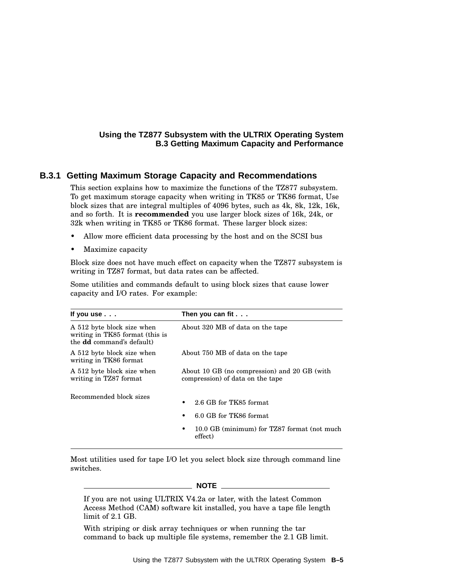#### **Using the TZ877 Subsystem with the ULTRIX Operating System B.3 Getting Maximum Capacity and Performance**

#### **B.3.1 Getting Maximum Storage Capacity and Recommendations**

This section explains how to maximize the functions of the TZ877 subsystem. To get maximum storage capacity when writing in TK85 or TK86 format, Use block sizes that are integral multiples of 4096 bytes, such as 4k, 8k, 12k, 16k, and so forth. It is **recommended** you use larger block sizes of 16k, 24k, or 32k when writing in TK85 or TK86 format. These larger block sizes:

- Allow more efficient data processing by the host and on the SCSI bus
- Maximize capacity

Block size does not have much effect on capacity when the TZ877 subsystem is writing in TZ87 format, but data rates can be affected.

Some utilities and commands default to using block sizes that cause lower capacity and I/O rates. For example:

| Then you can fit $\ldots$                                                                                   |  |
|-------------------------------------------------------------------------------------------------------------|--|
| About 320 MB of data on the tape                                                                            |  |
| About 750 MB of data on the tape                                                                            |  |
| About 10 GB (no compression) and 20 GB (with<br>compression) of data on the tape                            |  |
| 2.6 GB for TK85 format.<br>6.0 GB for TK86 format<br>10.0 GB (minimum) for TZ87 format (not much<br>effect) |  |
|                                                                                                             |  |

Most utilities used for tape I/O let you select block size through command line switches.

**NOTE**

If you are not using ULTRIX V4.2a or later, with the latest Common Access Method (CAM) software kit installed, you have a tape file length limit of 2.1 GB.

With striping or disk array techniques or when running the tar command to back up multiple file systems, remember the 2.1 GB limit.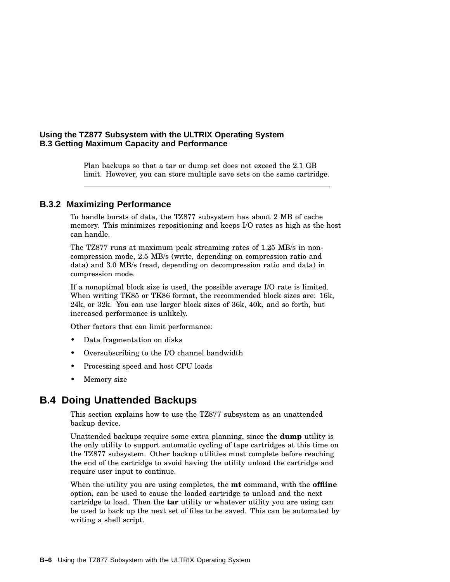#### **Using the TZ877 Subsystem with the ULTRIX Operating System B.3 Getting Maximum Capacity and Performance**

Plan backups so that a tar or dump set does not exceed the 2.1 GB limit. However, you can store multiple save sets on the same cartridge.

#### **B.3.2 Maximizing Performance**

To handle bursts of data, the TZ877 subsystem has about 2 MB of cache memory. This minimizes repositioning and keeps I/O rates as high as the host can handle.

The TZ877 runs at maximum peak streaming rates of 1.25 MB/s in noncompression mode, 2.5 MB/s (write, depending on compression ratio and data) and 3.0 MB/s (read, depending on decompression ratio and data) in compression mode.

If a nonoptimal block size is used, the possible average I/O rate is limited. When writing TK85 or TK86 format, the recommended block sizes are: 16k, 24k, or 32k. You can use larger block sizes of 36k, 40k, and so forth, but increased performance is unlikely.

Other factors that can limit performance:

- Data fragmentation on disks
- Oversubscribing to the I/O channel bandwidth
- Processing speed and host CPU loads
- Memory size

## **B.4 Doing Unattended Backups**

This section explains how to use the TZ877 subsystem as an unattended backup device.

Unattended backups require some extra planning, since the **dump** utility is the only utility to support automatic cycling of tape cartridges at this time on the TZ877 subsystem. Other backup utilities must complete before reaching the end of the cartridge to avoid having the utility unload the cartridge and require user input to continue.

When the utility you are using completes, the **mt** command, with the **offline** option, can be used to cause the loaded cartridge to unload and the next cartridge to load. Then the **tar** utility or whatever utility you are using can be used to back up the next set of files to be saved. This can be automated by writing a shell script.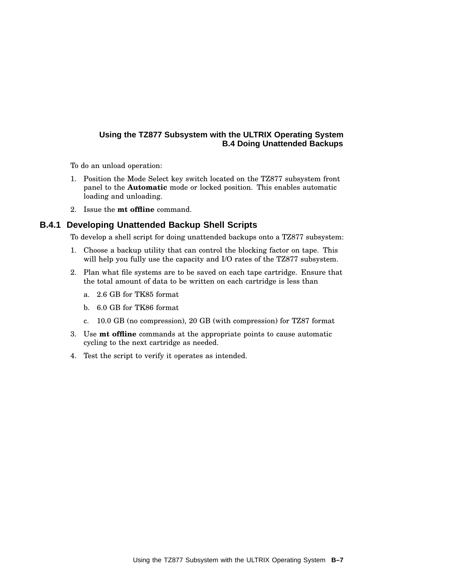## **Using the TZ877 Subsystem with the ULTRIX Operating System B.4 Doing Unattended Backups**

To do an unload operation:

- 1. Position the Mode Select key switch located on the TZ877 subsystem front panel to the **Automatic** mode or locked position. This enables automatic loading and unloading.
- 2. Issue the **mt offline** command.

## **B.4.1 Developing Unattended Backup Shell Scripts**

To develop a shell script for doing unattended backups onto a TZ877 subsystem:

- 1. Choose a backup utility that can control the blocking factor on tape. This will help you fully use the capacity and I/O rates of the TZ877 subsystem.
- 2. Plan what file systems are to be saved on each tape cartridge. Ensure that the total amount of data to be written on each cartridge is less than
	- a. 2.6 GB for TK85 format
	- b. 6.0 GB for TK86 format
	- c. 10.0 GB (no compression), 20 GB (with compression) for TZ87 format
- 3. Use **mt offline** commands at the appropriate points to cause automatic cycling to the next cartridge as needed.
- 4. Test the script to verify it operates as intended.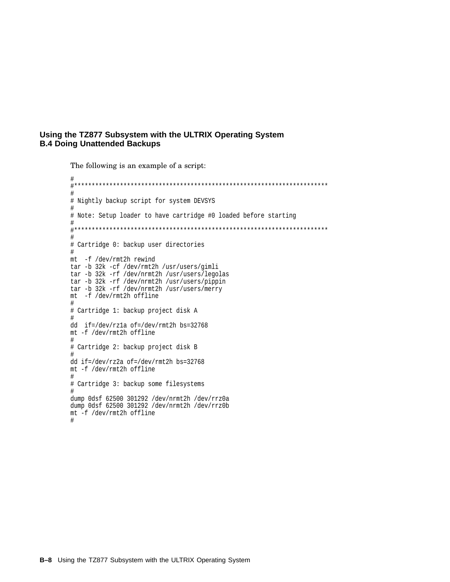#### **Using the TZ877 Subsystem with the ULTRIX Operating System B.4 Doing Unattended Backups**

The following is an example of a script:

# #\*\*\*\*\*\*\*\*\*\*\*\*\*\*\*\*\*\*\*\*\*\*\*\*\*\*\*\*\*\*\*\*\*\*\*\*\*\*\*\*\*\*\*\*\*\*\*\*\*\*\*\*\*\*\*\*\*\*\*\*\*\*\*\*\*\*\*\*\*\*\*\* # # Nightly backup script for system DEVSYS # # Note: Setup loader to have cartridge #0 loaded before starting # #\*\*\*\*\*\*\*\*\*\*\*\*\*\*\*\*\*\*\*\*\*\*\*\*\*\*\*\*\*\*\*\*\*\*\*\*\*\*\*\*\*\*\*\*\*\*\*\*\*\*\*\*\*\*\*\*\*\*\*\*\*\*\*\*\*\*\*\*\*\*\*\* # # Cartridge 0: backup user directories # mt -f /dev/rmt2h rewind tar -b 32k -cf /dev/rmt2h /usr/users/gimli tar -b 32k -rf /dev/nrmt2h /usr/users/legolas tar -b 32k -rf /dev/nrmt2h /usr/users/pippin tar -b 32k -rf /dev/nrmt2h /usr/users/merry mt -f /dev/rmt2h offline # # Cartridge 1: backup project disk A # dd if=/dev/rz1a of=/dev/rmt2h bs=32768 mt -f /dev/rmt2h offline # # Cartridge 2: backup project disk B # dd if=/dev/rz2a of=/dev/rmt2h bs=32768 mt -f /dev/rmt2h offline # # Cartridge 3: backup some filesystems # dump 0dsf 62500 301292 /dev/nrmt2h /dev/rrz0a dump 0dsf 62500 301292 /dev/nrmt2h /dev/rrz0b mt -f /dev/rmt2h offline #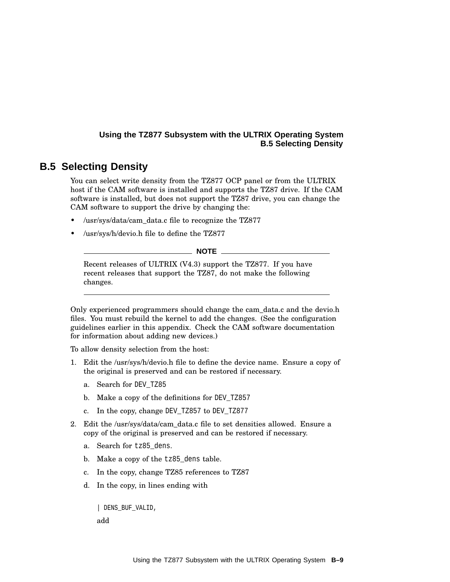## **Using the TZ877 Subsystem with the ULTRIX Operating System B.5 Selecting Density**

# **B.5 Selecting Density**

You can select write density from the TZ877 OCP panel or from the ULTRIX host if the CAM software is installed and supports the TZ87 drive. If the CAM software is installed, but does not support the TZ87 drive, you can change the CAM software to support the drive by changing the:

- /usr/sys/data/cam\_data.c file to recognize the TZ877
- /usr/sys/h/devio.h file to define the TZ877

**NOTE**

Recent releases of ULTRIX (V4.3) support the TZ877. If you have recent releases that support the TZ87, do not make the following changes.

Only experienced programmers should change the cam\_data.c and the devio.h files. You must rebuild the kernel to add the changes. (See the configuration guidelines earlier in this appendix. Check the CAM software documentation for information about adding new devices.)

To allow density selection from the host:

- 1. Edit the /usr/sys/h/devio.h file to define the device name. Ensure a copy of the original is preserved and can be restored if necessary.
	- a. Search for DEV TZ85
	- b. Make a copy of the definitions for DEV TZ857
	- c. In the copy, change DEV\_TZ857 to DEV\_TZ877
- 2. Edit the /usr/sys/data/cam\_data.c file to set densities allowed. Ensure a copy of the original is preserved and can be restored if necessary.
	- a. Search for tz85 dens.
	- b. Make a copy of the tz85\_dens table.
	- c. In the copy, change TZ85 references to TZ87
	- d. In the copy, in lines ending with

| DENS\_BUF\_VALID,

add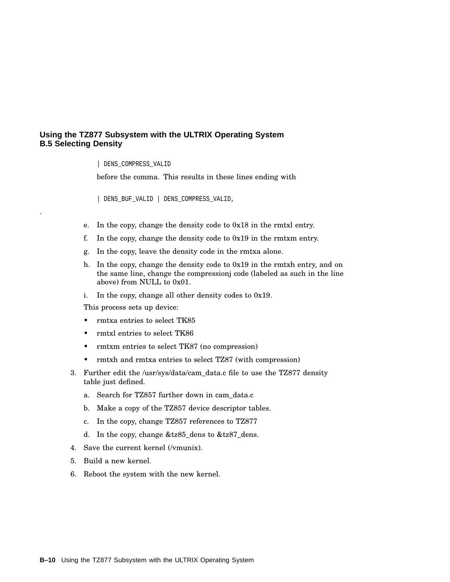#### **Using the TZ877 Subsystem with the ULTRIX Operating System B.5 Selecting Density**

| DENS\_COMPRESS\_VALID

.

before the comma. This results in these lines ending with

| DENS\_BUF\_VALID | DENS\_COMPRESS\_VALID,

- e. In the copy, change the density code to 0x18 in the rmtxl entry.
- f. In the copy, change the density code to 0x19 in the rmtxm entry.
- g. In the copy, leave the density code in the rmtxa alone.
- h. In the copy, change the density code to 0x19 in the rmtxh entry, and on the same line, change the compressionj code (labeled as such in the line above) from NULL to 0x01.
- i. In the copy, change all other density codes to 0x19.

This process sets up device:

- rmtxa entries to select TK85
- rmtxl entries to select TK86
- rmtxm entries to select TK87 (no compression)
- rmtxh and rmtxa entries to select TZ87 (with compression)
- 3. Further edit the /usr/sys/data/cam\_data.c file to use the TZ877 density table just defined.
	- a. Search for TZ857 further down in cam\_data.c
	- b. Make a copy of the TZ857 device descriptor tables.
	- c. In the copy, change TZ857 references to TZ877
	- d. In the copy, change &tz85\_dens to &tz87\_dens.
- 4. Save the current kernel (/vmunix).
- 5. Build a new kernel.
- 6. Reboot the system with the new kernel.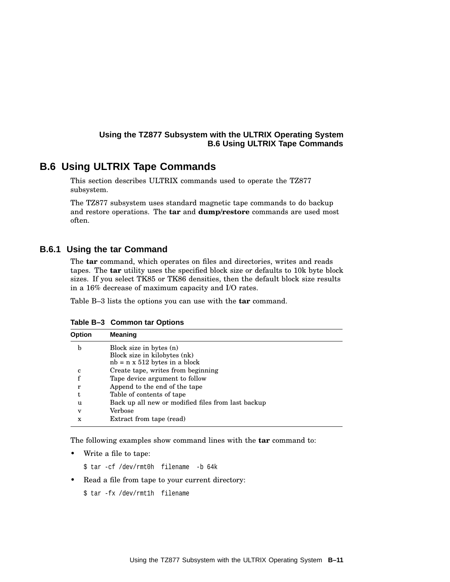# **B.6 Using ULTRIX Tape Commands**

This section describes ULTRIX commands used to operate the TZ877 subsystem.

The TZ877 subsystem uses standard magnetic tape commands to do backup and restore operations. The **tar** and **dump/restore** commands are used most often.

## **B.6.1 Using the tar Command**

The **tar** command, which operates on files and directories, writes and reads tapes. The **tar** utility uses the specified block size or defaults to 10k byte block sizes. If you select TK85 or TK86 densities, then the default block size results in a 16% decrease of maximum capacity and I/O rates.

Table B–3 lists the options you can use with the **tar** command.

| <b>Option</b> | <b>Meaning</b>                                     |
|---------------|----------------------------------------------------|
| b             | Block size in bytes (n)                            |
|               | Block size in kilobytes (nk)                       |
|               | $nb = n \times 512$ bytes in a block               |
| c             | Create tape, writes from beginning                 |
| f             | Tape device argument to follow                     |
| r             | Append to the end of the tape                      |
| t             | Table of contents of tape                          |
| u             | Back up all new or modified files from last backup |
| $\mathbf{V}$  | Verbose                                            |
| X             | Extract from tape (read)                           |

**Table B–3 Common tar Options**

The following examples show command lines with the **tar** command to:

• Write a file to tape:

\$ tar -cf /dev/rmt0h filename -b 64k

- Read a file from tape to your current directory:
	- \$ tar -fx /dev/rmt1h filename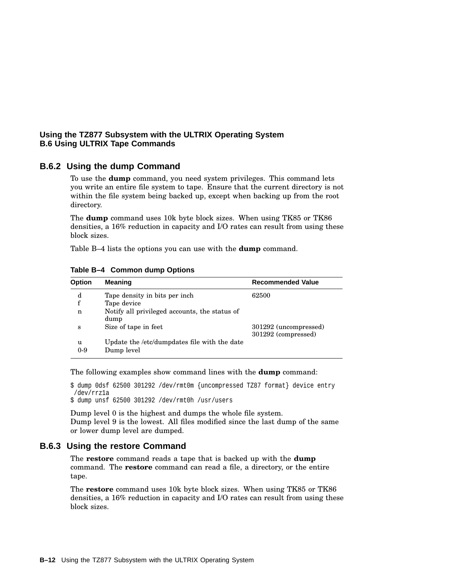#### **B.6.2 Using the dump Command**

To use the **dump** command, you need system privileges. This command lets you write an entire file system to tape. Ensure that the current directory is not within the file system being backed up, except when backing up from the root directory.

The **dump** command uses 10k byte block sizes. When using TK85 or TK86 densities, a 16% reduction in capacity and I/O rates can result from using these block sizes.

Table B–4 lists the options you can use with the **dump** command.

| <b>Option</b> | <b>Meaning</b>                                             | <b>Recommended Value</b>                     |
|---------------|------------------------------------------------------------|----------------------------------------------|
| d             | Tape density in bits per inch.                             | 62500                                        |
| f             | Tape device                                                |                                              |
| n             | Notify all privileged accounts, the status of<br>dump      |                                              |
| S             | Size of tape in feet                                       | 301292 (uncompressed)<br>301292 (compressed) |
| u<br>$0-9$    | Update the /etc/dumpdates file with the date<br>Dump level |                                              |

**Table B–4 Common dump Options**

The following examples show command lines with the **dump** command:

\$ dump 0dsf 62500 301292 /dev/rmt0m {uncompressed TZ87 format} device entry /dev/rrz1a

\$ dump unsf 62500 301292 /dev/rmt0h /usr/users

Dump level 0 is the highest and dumps the whole file system. Dump level 9 is the lowest. All files modified since the last dump of the same or lower dump level are dumped.

#### **B.6.3 Using the restore Command**

The **restore** command reads a tape that is backed up with the **dump** command. The **restore** command can read a file, a directory, or the entire tape.

The **restore** command uses 10k byte block sizes. When using TK85 or TK86 densities, a 16% reduction in capacity and I/O rates can result from using these block sizes.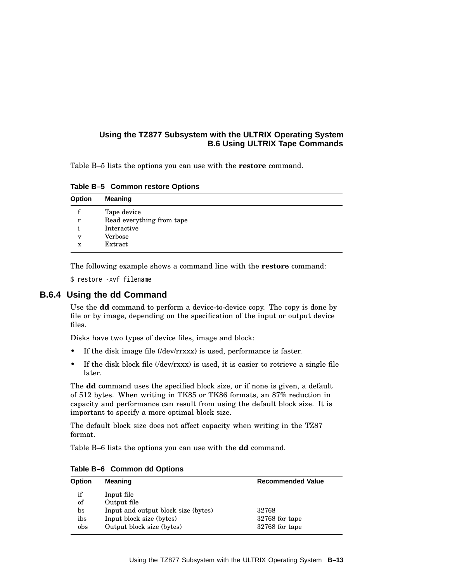Table B–5 lists the options you can use with the **restore** command.

**Table B–5 Common restore Options**

| Option      | <b>Meaning</b>            |
|-------------|---------------------------|
|             | Tape device               |
| r           | Read everything from tape |
|             | Interactive               |
| $\mathbf v$ | Verbose                   |
| x           | Extract                   |

The following example shows a command line with the **restore** command:

\$ restore -xvf filename

# **B.6.4 Using the dd Command**

Use the **dd** command to perform a device-to-device copy. The copy is done by file or by image, depending on the specification of the input or output device files.

Disks have two types of device files, image and block:

- If the disk image file (/dev/rrxxx) is used, performance is faster.
- If the disk block file (*/dev/rxxx*) is used, it is easier to retrieve a single file later.

The **dd** command uses the specified block size, or if none is given, a default of 512 bytes. When writing in TK85 or TK86 formats, an 87% reduction in capacity and performance can result from using the default block size. It is important to specify a more optimal block size.

The default block size does not affect capacity when writing in the TZ87 format.

Table B–6 lists the options you can use with the **dd** command.

| <b>Option</b> | <b>Meaning</b>                      | <b>Recommended Value</b> |
|---------------|-------------------------------------|--------------------------|
| if            | Input file                          |                          |
| of            | Output file                         |                          |
| $_{\rm bs}$   | Input and output block size (bytes) | 32768                    |
| ibs           | Input block size (bytes)            | 32768 for tape           |
| obs           | Output block size (bytes)           | 32768 for tape           |

**Table B–6 Common dd Options**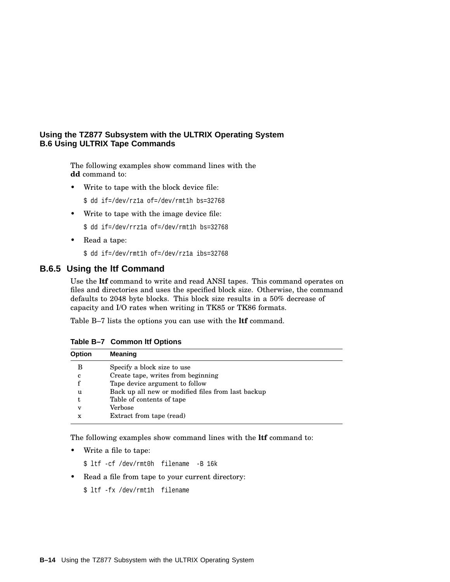The following examples show command lines with the **dd** command to:

• Write to tape with the block device file:

\$ dd if=/dev/rz1a of=/dev/rmt1h bs=32768

• Write to tape with the image device file:

\$ dd if=/dev/rrz1a of=/dev/rmt1h bs=32768

• Read a tape:

\$ dd if=/dev/rmt1h of=/dev/rz1a ibs=32768

#### **B.6.5 Using the ltf Command**

Use the **ltf** command to write and read ANSI tapes. This command operates on files and directories and uses the specified block size. Otherwise, the command defaults to 2048 byte blocks. This block size results in a 50% decrease of capacity and I/O rates when writing in TK85 or TK86 formats.

Table B–7 lists the options you can use with the **ltf** command.

| <b>Option</b>           | Meaning                                            |
|-------------------------|----------------------------------------------------|
| В                       | Specify a block size to use                        |
| c                       | Create tape, writes from beginning                 |
|                         | Tape device argument to follow                     |
| u                       | Back up all new or modified files from last backup |
| t                       | Table of contents of tape                          |
| $\overline{\mathbf{V}}$ | Verbose                                            |
| X                       | Extract from tape (read)                           |

**Table B–7 Common ltf Options**

The following examples show command lines with the **ltf** command to:

Write a file to tape:

\$ ltf -cf /dev/rmt0h filename -B 16k

• Read a file from tape to your current directory:

\$ ltf -fx /dev/rmt1h filename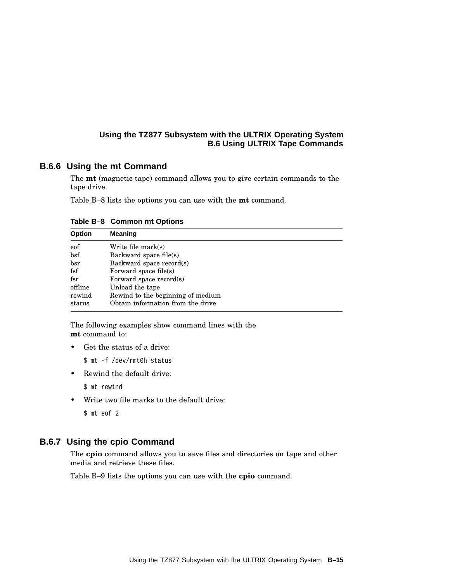## **B.6.6 Using the mt Command**

The **mt** (magnetic tape) command allows you to give certain commands to the tape drive.

Table B–8 lists the options you can use with the **mt** command.

| <b>Option</b>        | <b>Meaning</b>                    |
|----------------------|-----------------------------------|
| eof                  | Write file mark $(s)$             |
| $_{\rm bsf}$         | Backward space file(s)            |
| bsr                  | Backward space record(s)          |
| $\operatorname{fsf}$ | Forward space file(s)             |
| f <sub>ST</sub>      | Forward space record(s)           |
| offline              | Unload the tape                   |
| rewind               | Rewind to the beginning of medium |
| status               | Obtain information from the drive |

**Table B–8 Common mt Options**

The following examples show command lines with the **mt** command to:

• Get the status of a drive:

\$ mt -f /dev/rmt0h status

• Rewind the default drive:

```
$ mt rewind
```
• Write two file marks to the default drive:

\$ mt eof 2

## **B.6.7 Using the cpio Command**

The **cpio** command allows you to save files and directories on tape and other media and retrieve these files.

Table B–9 lists the options you can use with the **cpio** command.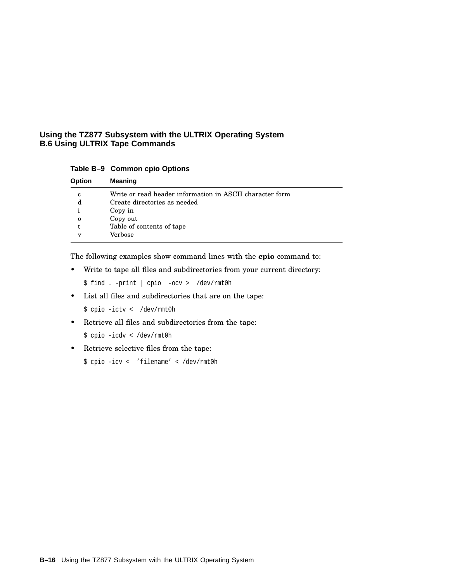**Table B–9 Common cpio Options**

| Option      | Meaning                                                  |
|-------------|----------------------------------------------------------|
| c           | Write or read header information in ASCII character form |
| d           | Create directories as needed                             |
|             | Copy in                                                  |
| $\mathbf 0$ | Copy out                                                 |
|             | Table of contents of tape                                |
| v           | Verbose                                                  |

The following examples show command lines with the **cpio** command to:

• Write to tape all files and subdirectories from your current directory:

\$ find . -print | cpio -ocv > /dev/rmt0h

• List all files and subdirectories that are on the tape:

\$ cpio -ictv < /dev/rmt0h

• Retrieve all files and subdirectories from the tape:

\$ cpio -icdv < /dev/rmt0h

• Retrieve selective files from the tape:

\$ cpio -icv < 'filename' < /dev/rmt0h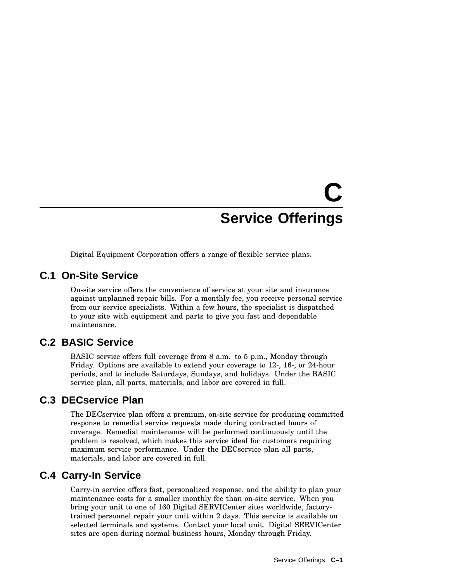# **C Service Offerings**

Digital Equipment Corporation offers a range of flexible service plans.

# **C.1 On-Site Service**

On-site service offers the convenience of service at your site and insurance against unplanned repair bills. For a monthly fee, you receive personal service from our service specialists. Within a few hours, the specialist is dispatched to your site with equipment and parts to give you fast and dependable maintenance.

# **C.2 BASIC Service**

BASIC service offers full coverage from 8 a.m. to 5 p.m., Monday through Friday. Options are available to extend your coverage to 12-, 16-, or 24-hour periods, and to include Saturdays, Sundays, and holidays. Under the BASIC service plan, all parts, materials, and labor are covered in full.

# **C.3 DECservice Plan**

The DECservice plan offers a premium, on-site service for producing committed response to remedial service requests made during contracted hours of coverage. Remedial maintenance will be performed continuously until the problem is resolved, which makes this service ideal for customers requiring maximum service performance. Under the DECservice plan all parts, materials, and labor are covered in full.

# **C.4 Carry-In Service**

Carry-in service offers fast, personalized response, and the ability to plan your maintenance costs for a smaller monthly fee than on-site service. When you bring your unit to one of 160 Digital SERVICenter sites worldwide, factorytrained personnel repair your unit within 2 days. This service is available on selected terminals and systems. Contact your local unit. Digital SERVICenter sites are open during normal business hours, Monday through Friday.